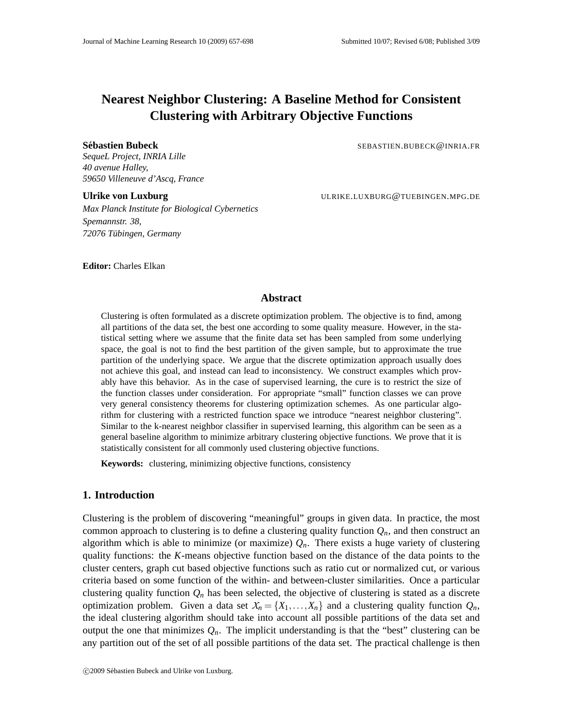# **Nearest Neighbor Clustering: A Baseline Method for Consistent Clustering with Arbitrary Objective Functions**

**Sebastien Bubeck ´** SEBASTIEN.BUBECK@INRIA.FR

*SequeL Project, INRIA Lille 40 avenue Halley, 59650 Villeneuve d'Ascq, France*

**Ulrike von Luxburg** ULRIKE.LUXBURG@TUEBINGEN.MPG.DE *Max Planck Institute for Biological Cybernetics Spemannstr. 38, 72076 Tubingen, Germany ¨*

**Editor:** Charles Elkan

# **Abstract**

Clustering is often formulated as a discrete optimization problem. The objective is to find, among all partitions of the data set, the best one according to some quality measure. However, in the statistical setting where we assume that the finite data set has been sampled from some underlying space, the goal is not to find the best partition of the given sample, but to approximate the true partition of the underlying space. We argue that the discrete optimization approach usually does not achieve this goal, and instead can lead to inconsistency. We construct examples which provably have this behavior. As in the case of supervised learning, the cure is to restrict the size of the function classes under consideration. For appropriate "small" function classes we can prove very general consistency theorems for clustering optimization schemes. As one particular algorithm for clustering with a restricted function space we introduce "nearest neighbor clustering". Similar to the k-nearest neighbor classifier in supervised learning, this algorithm can be seen as a general baseline algorithm to minimize arbitrary clustering objective functions. We prove that it is statistically consistent for all commonly used clustering objective functions.

**Keywords:** clustering, minimizing objective functions, consistency

# **1. Introduction**

Clustering is the problem of discovering "meaningful" groups in given data. In practice, the most common approach to clustering is to define a clustering quality function  $Q_n$ , and then construct an algorithm which is able to minimize (or maximize)  $Q_n$ . There exists a huge variety of clustering quality functions: the *K*-means objective function based on the distance of the data points to the cluster centers, graph cut based objective functions such as ratio cut or normalized cut, or various criteria based on some function of the within- and between-cluster similarities. Once a particular clustering quality function  $Q_n$  has been selected, the objective of clustering is stated as a discrete optimization problem. Given a data set  $X_n = \{X_1, \ldots, X_n\}$  and a clustering quality function  $Q_n$ , the ideal clustering algorithm should take into account all possible partitions of the data set and output the one that minimizes  $Q_n$ . The implicit understanding is that the "best" clustering can be any partition out of the set of all possible partitions of the data set. The practical challenge is then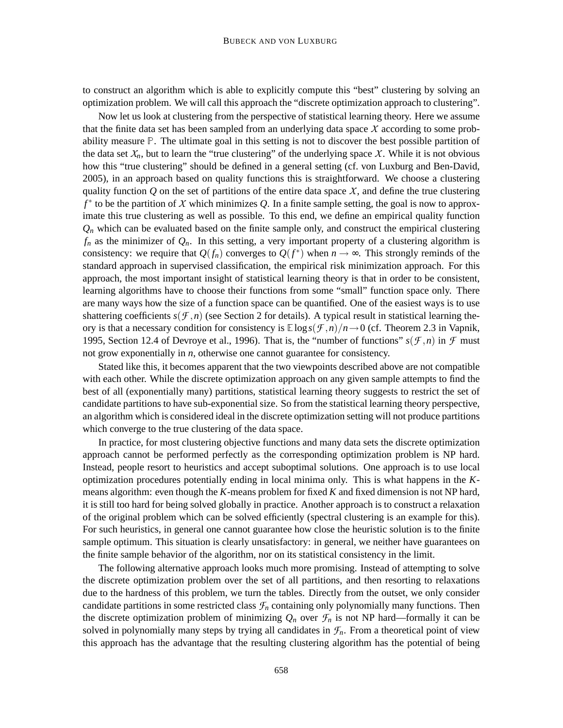to construct an algorithm which is able to explicitly compute this "best" clustering by solving an optimization problem. We will call this approach the "discrete optimization approach to clustering".

Now let us look at clustering from the perspective of statistical learning theory. Here we assume that the finite data set has been sampled from an underlying data space *X* according to some probability measure <sup>P</sup>. The ultimate goal in this setting is not to discover the best possible partition of the data set  $X_n$ , but to learn the "true clustering" of the underlying space X. While it is not obvious how this "true clustering" should be defined in a general setting (cf. von Luxburg and Ben-David, 2005), in an approach based on quality functions this is straightforward. We choose a clustering quality function  $Q$  on the set of partitions of the entire data space  $X$ , and define the true clustering *f* ∗ to be the partition of *X* which minimizes *Q*. In a finite sample setting, the goal is now to approximate this true clustering as well as possible. To this end, we define an empirical quality function  $Q_n$  which can be evaluated based on the finite sample only, and construct the empirical clustering  $f_n$  as the minimizer of  $Q_n$ . In this setting, a very important property of a clustering algorithm is consistency: we require that  $Q(f_n)$  converges to  $Q(f^*)$  when  $n \to \infty$ . This strongly reminds of the standard approach in supervised classification, the empirical risk minimization approach. For this approach, the most important insight of statistical learning theory is that in order to be consistent, learning algorithms have to choose their functions from some "small" function space only. There are many ways how the size of a function space can be quantified. One of the easiest ways is to use shattering coefficients  $s(f, n)$  (see Section 2 for details). A typical result in statistical learning theory is that a necessary condition for consistency is  $\mathbb{E} \log s(\mathcal{F}, n)/n \rightarrow 0$  (cf. Theorem 2.3 in Vapnik, 1995, Section 12.4 of Devroye et al., 1996). That is, the "number of functions"  $s(f, n)$  in  $f$  must not grow exponentially in *n*, otherwise one cannot guarantee for consistency.

Stated like this, it becomes apparent that the two viewpoints described above are not compatible with each other. While the discrete optimization approach on any given sample attempts to find the best of all (exponentially many) partitions, statistical learning theory suggests to restrict the set of candidate partitions to have sub-exponential size. So from the statistical learning theory perspective, an algorithm which is considered ideal in the discrete optimization setting will not produce partitions which converge to the true clustering of the data space.

In practice, for most clustering objective functions and many data sets the discrete optimization approach cannot be performed perfectly as the corresponding optimization problem is NP hard. Instead, people resort to heuristics and accept suboptimal solutions. One approach is to use local optimization procedures potentially ending in local minima only. This is what happens in the *K*means algorithm: even though the *K*-means problem for fixed *K* and fixed dimension is not NP hard, it is still too hard for being solved globally in practice. Another approach is to construct a relaxation of the original problem which can be solved efficiently (spectral clustering is an example for this). For such heuristics, in general one cannot guarantee how close the heuristic solution is to the finite sample optimum. This situation is clearly unsatisfactory: in general, we neither have guarantees on the finite sample behavior of the algorithm, nor on its statistical consistency in the limit.

The following alternative approach looks much more promising. Instead of attempting to solve the discrete optimization problem over the set of all partitions, and then resorting to relaxations due to the hardness of this problem, we turn the tables. Directly from the outset, we only consider candidate partitions in some restricted class  $\mathcal{F}_n$  containing only polynomially many functions. Then the discrete optimization problem of minimizing  $Q_n$  over  $\mathcal{F}_n$  is not NP hard—formally it can be solved in polynomially many steps by trying all candidates in  $\mathcal{F}_n$ . From a theoretical point of view this approach has the advantage that the resulting clustering algorithm has the potential of being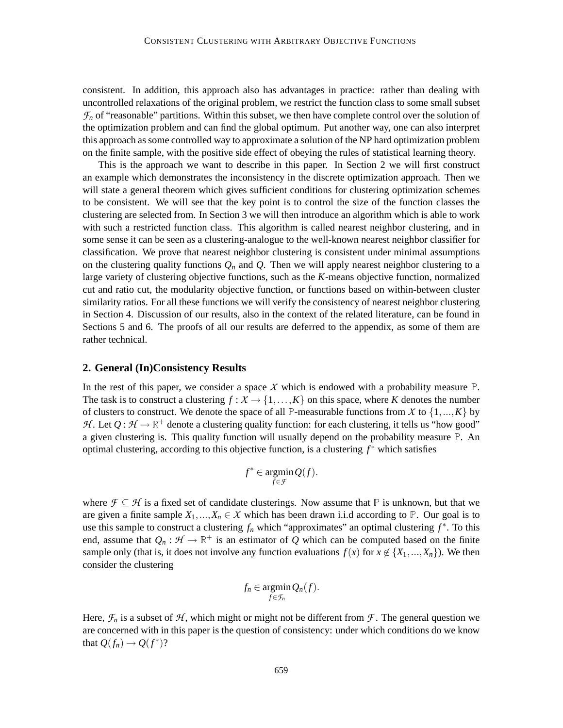consistent. In addition, this approach also has advantages in practice: rather than dealing with uncontrolled relaxations of the original problem, we restrict the function class to some small subset  $\mathcal{F}_n$  of "reasonable" partitions. Within this subset, we then have complete control over the solution of the optimization problem and can find the global optimum. Put another way, one can also interpret this approach as some controlled way to approximate a solution of the NP hard optimization problem on the finite sample, with the positive side effect of obeying the rules of statistical learning theory.

This is the approach we want to describe in this paper. In Section 2 we will first construct an example which demonstrates the inconsistency in the discrete optimization approach. Then we will state a general theorem which gives sufficient conditions for clustering optimization schemes to be consistent. We will see that the key point is to control the size of the function classes the clustering are selected from. In Section 3 we will then introduce an algorithm which is able to work with such a restricted function class. This algorithm is called nearest neighbor clustering, and in some sense it can be seen as a clustering-analogue to the well-known nearest neighbor classifier for classification. We prove that nearest neighbor clustering is consistent under minimal assumptions on the clustering quality functions  $Q_n$  and  $Q$ . Then we will apply nearest neighbor clustering to a large variety of clustering objective functions, such as the *K*-means objective function, normalized cut and ratio cut, the modularity objective function, or functions based on within-between cluster similarity ratios. For all these functions we will verify the consistency of nearest neighbor clustering in Section 4. Discussion of our results, also in the context of the related literature, can be found in Sections 5 and 6. The proofs of all our results are deferred to the appendix, as some of them are rather technical.

# **2. General (In)Consistency Results**

In the rest of this paper, we consider a space X which is endowed with a probability measure  $\mathbb{P}$ . The task is to construct a clustering  $f: X \to \{1, \ldots, K\}$  on this space, where *K* denotes the number of clusters to construct. We denote the space of all P-measurable functions from *X* to  $\{1,...,K\}$  by *H*. Let  $Q: \mathcal{H} \to \mathbb{R}^+$  denote a clustering quality function: for each clustering, it tells us "how good" a given clustering is. This quality function will usually depend on the probability measure <sup>P</sup>. An optimal clustering, according to this objective function, is a clustering *f* ∗ which satisfies

$$
f^*\in \mathop{\rm argmin}_{f\in \mathcal{F}} Q(f).
$$

where  $\mathcal{F} \subseteq \mathcal{H}$  is a fixed set of candidate clusterings. Now assume that  $\mathbb{P}$  is unknown, but that we are given a finite sample  $X_1, ..., X_n \in \mathcal{X}$  which has been drawn i.i.d according to  $\mathbb{P}$ . Our goal is to use this sample to construct a clustering  $f_n$  which "approximates" an optimal clustering  $f^*$ . To this end, assume that  $Q_n : \mathcal{H} \to \mathbb{R}^+$  is an estimator of Q which can be computed based on the finite sample only (that is, it does not involve any function evaluations  $f(x)$  for  $x \notin \{X_1, ..., X_n\}$ ). We then consider the clustering

$$
f_n \in \operatorname*{argmin}_{f \in \mathcal{F}_n} Q_n(f).
$$

Here,  $\mathcal{F}_n$  is a subset of  $\mathcal{H}$ , which might or might not be different from  $\mathcal{F}$ . The general question we are concerned with in this paper is the question of consistency: under which conditions do we know that  $Q(f_n) \to Q(f^*)$ ?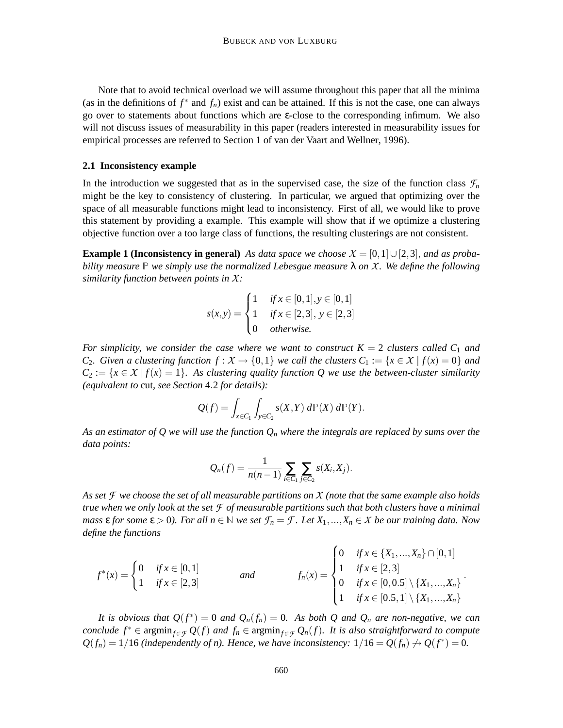Note that to avoid technical overload we will assume throughout this paper that all the minima (as in the definitions of  $f^*$  and  $f_n$ ) exist and can be attained. If this is not the case, one can always go over to statements about functions which are ε-close to the corresponding infimum. We also will not discuss issues of measurability in this paper (readers interested in measurability issues for empirical processes are referred to Section 1 of van der Vaart and Wellner, 1996).

#### **2.1 Inconsistency example**

In the introduction we suggested that as in the supervised case, the size of the function class  $\mathcal{F}_n$ might be the key to consistency of clustering. In particular, we argued that optimizing over the space of all measurable functions might lead to inconsistency. First of all, we would like to prove this statement by providing a example. This example will show that if we optimize a clustering objective function over a too large class of functions, the resulting clusterings are not consistent.

**Example 1 (Inconsistency in general)** As data space we choose  $X = [0,1] \cup [2,3]$ , and as proba*bility measure* <sup>P</sup> *we simply use the normalized Lebesgue measure* λ *on X. We define the following similarity function between points in X:*

$$
s(x,y) = \begin{cases} 1 & \text{if } x \in [0,1], y \in [0,1] \\ 1 & \text{if } x \in [2,3], y \in [2,3] \\ 0 & \text{otherwise.} \end{cases}
$$

*For simplicity, we consider the case where we want to construct*  $K = 2$  *clusters called*  $C_1$  *and C*<sub>2</sub>*. Given a clustering function*  $f : X \to \{0,1\}$  *<i>we call the clusters*  $C_1 := \{x \in X \mid f(x) = 0\}$  *and*  $C_2 := \{x \in X \mid f(x) = 1\}$ . As clustering quality function Q we use the between-cluster similarity *(equivalent to* cut*, see Section* 4.2 *for details):*

$$
Q(f) = \int_{x \in C_1} \int_{y \in C_2} s(X, Y) d\mathbb{P}(X) d\mathbb{P}(Y).
$$

*As an estimator of Q we will use the function Q<sup>n</sup> where the integrals are replaced by sums over the data points:*

$$
Q_n(f) = \frac{1}{n(n-1)} \sum_{i \in C_1} \sum_{j \in C_2} s(X_i, X_j).
$$

*As set F we choose the set of all measurable partitions on X (note that the same example also holds true when we only look at the set F of measurable partitions such that both clusters have a minimal mass*  $\epsilon$  *for some*  $\epsilon > 0$ *). For all*  $n \in \mathbb{N}$  *we set*  $\mathcal{F}_n = \mathcal{F}$ *. Let*  $X_1, ..., X_n \in \mathcal{X}$  *be our training data. Now define the functions*

$$
f^*(x) = \begin{cases} 0 & \text{if } x \in [0,1] \\ 1 & \text{if } x \in [2,3] \end{cases} \qquad \text{and} \qquad f_n(x) = \begin{cases} 0 & \text{if } x \in \{X_1, ..., X_n\} \cap [0,1] \\ 1 & \text{if } x \in [2,3] \\ 0 & \text{if } x \in [0,0.5] \setminus \{X_1, ..., X_n\} \\ 1 & \text{if } x \in [0.5,1] \setminus \{X_1, ..., X_n\} \end{cases}.
$$

*It is obvious that*  $Q(f^*) = 0$  *and*  $Q_n(f_n) = 0$ . As both Q and  $Q_n$  are non-negative, we can *conclude*  $f^*$  ∈ argmin<sub> $f ∈ F$ </sub>  $Q(f)$  *and*  $f_n ∈$  argmin<sub> $f ∈ F$ </sub>  $Q_n(f)$ *. It is also straightforward to compute*  $Q(f_n) = 1/16$  *(independently of n). Hence, we have inconsistency:*  $1/16 = Q(f_n) \rightarrow Q(f^*) = 0$ .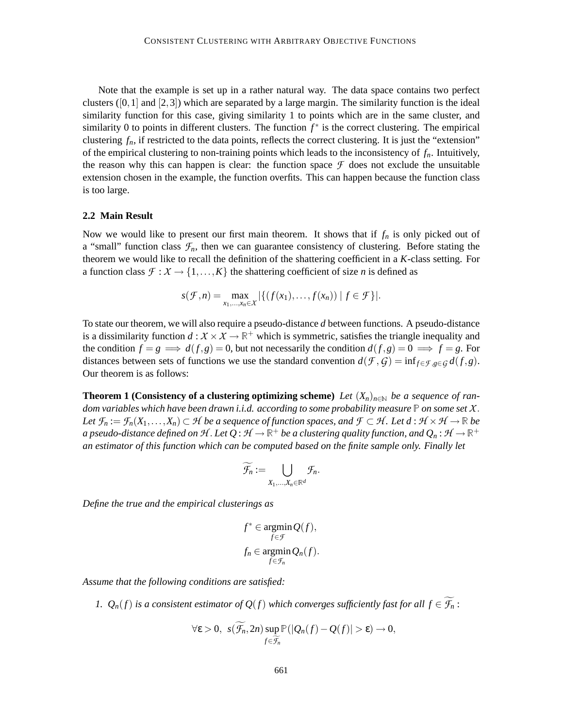Note that the example is set up in a rather natural way. The data space contains two perfect clusters  $([0,1]$  and  $[2,3]$ ) which are separated by a large margin. The similarity function is the ideal similarity function for this case, giving similarity 1 to points which are in the same cluster, and similarity 0 to points in different clusters. The function  $f^*$  is the correct clustering. The empirical clustering  $f_n$ , if restricted to the data points, reflects the correct clustering. It is just the "extension" of the empirical clustering to non-training points which leads to the inconsistency of *fn*. Intuitively, the reason why this can happen is clear: the function space  $\mathcal F$  does not exclude the unsuitable extension chosen in the example, the function overfits. This can happen because the function class is too large.

#### **2.2 Main Result**

Now we would like to present our first main theorem. It shows that if  $f_n$  is only picked out of a "small" function class  $\mathcal{F}_n$ , then we can guarantee consistency of clustering. Before stating the theorem we would like to recall the definition of the shattering coefficient in a *K*-class setting. For a function class  $\mathcal{F}: \mathcal{X} \to \{1, \ldots, K\}$  the shattering coefficient of size *n* is defined as

$$
s(\mathcal{F},n)=\max_{x_1,\ldots,x_n\in\mathcal{X}}|\{(f(x_1),\ldots,f(x_n))\mid f\in\mathcal{F}\}|.
$$

To state our theorem, we will also require a pseudo-distance *d* between functions. A pseudo-distance is a dissimilarity function  $d : X \times X \to \mathbb{R}^+$  which is symmetric, satisfies the triangle inequality and the condition  $f = g \implies d(f, g) = 0$ , but not necessarily the condition  $d(f, g) = 0 \implies f = g$ . For distances between sets of functions we use the standard convention  $d(\mathcal{F}, \mathcal{G}) = \inf_{f \in \mathcal{F}, g \in \mathcal{G}} d(f, g)$ . Our theorem is as follows:

**Theorem 1 (Consistency of a clustering optimizing scheme)** *Let*  $(X_n)_{n\in\mathbb{N}}$  *be a sequence of random variables which have been drawn i.i.d. according to some probability measure* <sup>P</sup> *on some set X*. *Let*  $\mathcal{F}_n := \mathcal{F}_n(X_1, \ldots, X_n)$  ⊂ *H be a sequence of function spaces, and*  $\mathcal{F} \subset \mathcal{H}$ *. Let*  $d : \mathcal{H} \times \mathcal{H} \to \mathbb{R}$  *be a* pseudo-distance defined on H . Let  $Q : H \to \mathbb{R}^+$  be a clustering quality function, and  $Q_n : H \to \mathbb{R}^+$ *an estimator of this function which can be computed based on the finite sample only. Finally let*

$$
\widetilde{\mathcal{F}_n} := \bigcup_{X_1,\ldots,X_n \in \mathbb{R}^d} \mathcal{F}_n.
$$

*Define the true and the empirical clusterings as*

$$
f^* \in \operatorname*{argmin}_{f \in \mathcal{F}} Q(f),
$$
  

$$
f_n \in \operatorname*{argmin}_{f \in \mathcal{F}_n} Q_n(f).
$$

*Assume that the following conditions are satisfied:*

*1.*  $Q_n(f)$  *is a consistent estimator of*  $Q(f)$  *which converges sufficiently fast for all*  $f \in \widetilde{\mathcal{F}_n}$ *:* 

$$
\forall \varepsilon > 0, \ \ s(\mathcal{F}_n, 2n) \sup_{f \in \widetilde{\mathcal{F}_n}} \mathbb{P}(|Q_n(f) - Q(f)| > \varepsilon) \to 0,
$$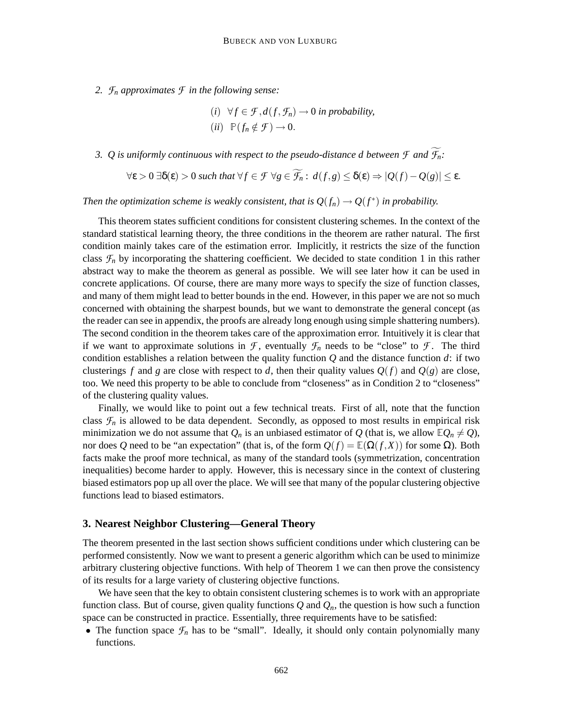*2. F<sup>n</sup> approximates F in the following sense:*

\n- (i) 
$$
\forall f \in \mathcal{F}, d(f, \mathcal{F}_n) \to 0
$$
 in probability,
\n- (ii)  $\mathbb{P}(f_n \notin \mathcal{F}) \to 0$ .
\n

*3. Q is uniformly continuous with respect to the pseudo-distance d between*  $\mathcal{F}$  and  $\widetilde{\mathcal{F}}_n$ :

$$
\forall \varepsilon > 0 \ \exists \delta(\varepsilon) > 0 \ \text{such that} \ \forall f \in \mathcal{F} \ \forall g \in \widetilde{\mathcal{F}_n} : \ d(f, g) \leq \delta(\varepsilon) \Rightarrow |Q(f) - Q(g)| \leq \varepsilon.
$$

*Then the optimization scheme is weakly consistent, that is*  $Q(f_n) \to Q(f^*)$  *in probability.* 

This theorem states sufficient conditions for consistent clustering schemes. In the context of the standard statistical learning theory, the three conditions in the theorem are rather natural. The first condition mainly takes care of the estimation error. Implicitly, it restricts the size of the function class  $\mathcal{F}_n$  by incorporating the shattering coefficient. We decided to state condition 1 in this rather abstract way to make the theorem as general as possible. We will see later how it can be used in concrete applications. Of course, there are many more ways to specify the size of function classes, and many of them might lead to better bounds in the end. However, in this paper we are not so much concerned with obtaining the sharpest bounds, but we want to demonstrate the general concept (as the reader can see in appendix, the proofs are already long enough using simple shattering numbers). The second condition in the theorem takes care of the approximation error. Intuitively it is clear that if we want to approximate solutions in  $\mathcal{F}$ , eventually  $\mathcal{F}_n$  needs to be "close" to  $\mathcal{F}$ . The third condition establishes a relation between the quality function *Q* and the distance function *d*: if two clusterings f and g are close with respect to d, then their quality values  $Q(f)$  and  $Q(g)$  are close, too. We need this property to be able to conclude from "closeness" as in Condition 2 to "closeness" of the clustering quality values.

Finally, we would like to point out a few technical treats. First of all, note that the function class  $\mathcal{F}_n$  is allowed to be data dependent. Secondly, as opposed to most results in empirical risk minimization we do not assume that  $Q_n$  is an unbiased estimator of Q (that is, we allow  $\mathbb{E}Q_n \neq Q$ ), nor does *Q* need to be "an expectation" (that is, of the form  $Q(f) = \mathbb{E}(\Omega(f, X))$  for some Ω). Both facts make the proof more technical, as many of the standard tools (symmetrization, concentration inequalities) become harder to apply. However, this is necessary since in the context of clustering biased estimators pop up all over the place. We will see that many of the popular clustering objective functions lead to biased estimators.

#### **3. Nearest Neighbor Clustering—General Theory**

The theorem presented in the last section shows sufficient conditions under which clustering can be performed consistently. Now we want to present a generic algorithm which can be used to minimize arbitrary clustering objective functions. With help of Theorem 1 we can then prove the consistency of its results for a large variety of clustering objective functions.

We have seen that the key to obtain consistent clustering schemes is to work with an appropriate function class. But of course, given quality functions  $Q$  and  $Q_n$ , the question is how such a function space can be constructed in practice. Essentially, three requirements have to be satisfied:

• The function space  $\mathcal{F}_n$  has to be "small". Ideally, it should only contain polynomially many functions.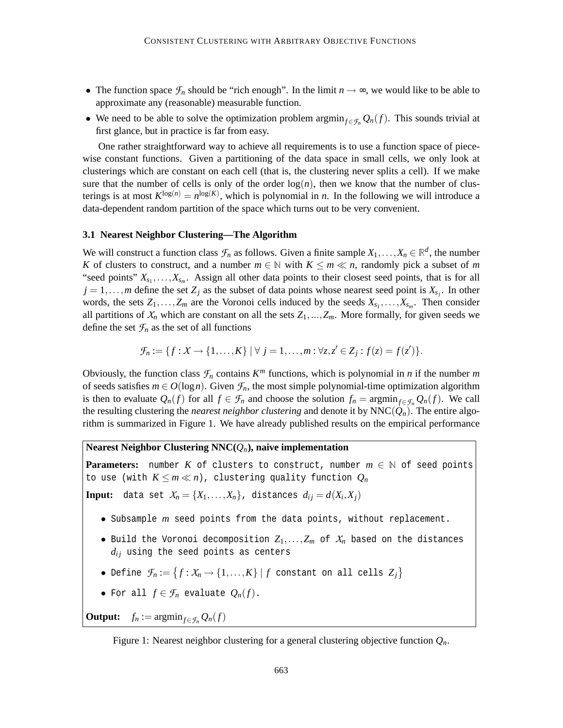- The function space  $\mathcal{F}_n$  should be "rich enough". In the limit  $n \to \infty$ , we would like to be able to approximate any (reasonable) measurable function.
- We need to be able to solve the optimization problem  $\argmin_{f \in \mathcal{F}_n} Q_n(f)$ . This sounds trivial at first glance, but in practice is far from easy.

One rather straightforward way to achieve all requirements is to use a function space of piecewise constant functions. Given a partitioning of the data space in small cells, we only look at clusterings which are constant on each cell (that is, the clustering never splits a cell). If we make sure that the number of cells is only of the order  $log(n)$ , then we know that the number of clusterings is at most  $K^{\log(n)} = n^{\log(K)}$ , which is polynomial in *n*. In the following we will introduce a data-dependent random partition of the space which turns out to be very convenient.

#### **3.1 Nearest Neighbor Clustering—The Algorithm**

We will construct a function class  $\mathcal{F}_n$  as follows. Given a finite sample  $X_1, \ldots, X_n \in \mathbb{R}^d$ , the number *K* of clusters to construct, and a number  $m \in \mathbb{N}$  with  $K \le m \ll n$ , randomly pick a subset of *m* "seed points"  $X_{s_1}, \ldots, X_{s_m}$ . Assign all other data points to their closest seed points, that is for all  $j = 1, \ldots, m$  define the set  $Z_j$  as the subset of data points whose nearest seed point is  $X_{s_j}$ . In other words, the sets  $Z_1, \ldots, Z_m$  are the Voronoi cells induced by the seeds  $X_{s_1}, \ldots, X_{s_m}$ . Then consider all partitions of  $X_n$  which are constant on all the sets  $Z_1, ..., Z_m$ . More formally, for given seeds we define the set  $\mathcal{F}_n$  as the set of all functions

$$
\mathcal{F}_n := \{f: X \to \{1,\ldots,K\} \mid \forall j = 1,\ldots,m : \forall z, z' \in Z_j : f(z) = f(z')\}.
$$

Obviously, the function class  $\mathcal{F}_n$  contains  $K^m$  functions, which is polynomial in *n* if the number *m* of seeds satisfies  $m \in O(\log n)$ . Given  $\mathcal{F}_n$ , the most simple polynomial-time optimization algorithm is then to evaluate  $Q_n(f)$  for all  $f \in \mathcal{F}_n$  and choose the solution  $f_n = \operatorname{argmin}_{f \in \mathcal{F}_n} Q_n(f)$ . We call the resulting clustering the *nearest neighbor clustering* and denote it by  $NNC(Q_n)$ . The entire algorithm is summarized in Figure 1. We have already published results on the empirical performance

# **Nearest Neighbor Clustering NNC(***Qn***), naive implementation**

**Parameters:** number  $K$  of clusters to construct, number  $m \in \mathbb{N}$  of seed points to use (with  $K \leq m \ll n$ ), clustering quality function  $Q_n$ 

**Input:** data set  $X_n = \{X_1, \ldots, X_n\}$ , distances  $d_{ij} = d(X_i, X_j)$ 

- Subsample *m* seed points from the data points, without replacement.
- Build the Voronoi decomposition  $Z_1,\ldots,Z_m$  of  $X_n$  based on the distances  $d_{ij}$  using the seed points as centers
- Define  $\mathcal{F}_n := \{f: \mathcal{X}_n \to \{1,\ldots,K\} \mid f \text{ constant on all cells } Z_j\}$
- For all  $f \in \mathcal{F}_n$  evaluate  $Q_n(f)$ .

**Output:**  $f_n := \operatorname{argmin}_{f \in \mathcal{F}_n} Q_n(f)$ 

Figure 1: Nearest neighbor clustering for a general clustering objective function *Qn*.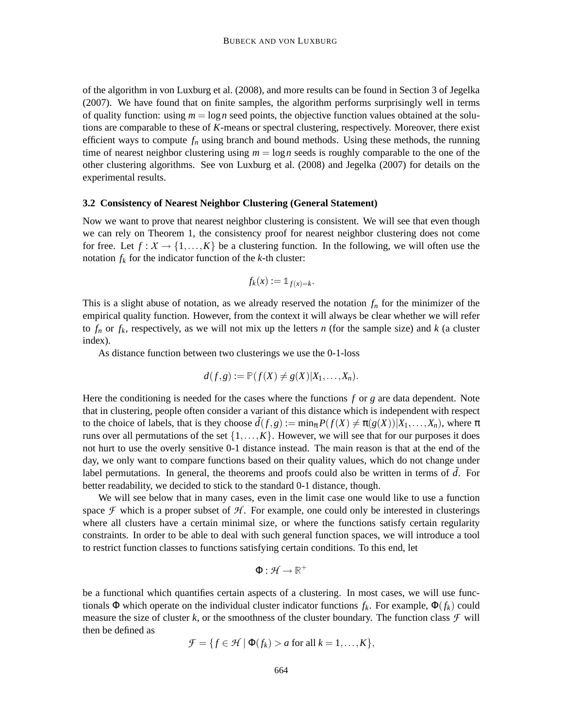of the algorithm in von Luxburg et al. (2008), and more results can be found in Section 3 of Jegelka (2007). We have found that on finite samples, the algorithm performs surprisingly well in terms of quality function: using  $m = \log n$  seed points, the objective function values obtained at the solutions are comparable to these of *K*-means or spectral clustering, respectively. Moreover, there exist efficient ways to compute *f<sup>n</sup>* using branch and bound methods. Using these methods, the running time of nearest neighbor clustering using  $m = \log n$  seeds is roughly comparable to the one of the other clustering algorithms. See von Luxburg et al. (2008) and Jegelka (2007) for details on the experimental results.

# **3.2 Consistency of Nearest Neighbor Clustering (General Statement)**

Now we want to prove that nearest neighbor clustering is consistent. We will see that even though we can rely on Theorem 1, the consistency proof for nearest neighbor clustering does not come for free. Let  $f: X \to \{1,\ldots,K\}$  be a clustering function. In the following, we will often use the notation  $f_k$  for the indicator function of the  $k$ -th cluster:

$$
f_k(x) := \mathbb{1}_{f(x) = k}.
$$

This is a slight abuse of notation, as we already reserved the notation  $f_n$  for the minimizer of the empirical quality function. However, from the context it will always be clear whether we will refer to  $f_n$  or  $f_k$ , respectively, as we will not mix up the letters *n* (for the sample size) and *k* (a cluster index).

As distance function between two clusterings we use the 0-1-loss

$$
d(f,g):=\mathbb{P}(f(X)\neq g(X)|X_1,\ldots,X_n).
$$

Here the conditioning is needed for the cases where the functions *f* or *g* are data dependent. Note that in clustering, people often consider a variant of this distance which is independent with respect to the choice of labels, that is they choose  $\tilde{d}(f,g) := \min_{\pi} P(f(X) \neq \pi(g(X)) | X_1, \ldots, X_n)$ , where  $\pi$ runs over all permutations of the set  $\{1,\ldots,K\}$ . However, we will see that for our purposes it does not hurt to use the overly sensitive 0-1 distance instead. The main reason is that at the end of the day, we only want to compare functions based on their quality values, which do not change under label permutations. In general, the theorems and proofs could also be written in terms of *d*. For better readability, we decided to stick to the standard 0-1 distance, though.

We will see below that in many cases, even in the limit case one would like to use a function space  $\mathcal F$  which is a proper subset of  $\mathcal H$ . For example, one could only be interested in clusterings where all clusters have a certain minimal size, or where the functions satisfy certain regularity constraints. In order to be able to deal with such general function spaces, we will introduce a tool to restrict function classes to functions satisfying certain conditions. To this end, let

$$
\Phi: \mathcal{H} \to \mathbb{R}^+
$$

be a functional which quantifies certain aspects of a clustering. In most cases, we will use functionals  $\Phi$  which operate on the individual cluster indicator functions  $f_k$ . For example,  $\Phi(f_k)$  could measure the size of cluster  $k$ , or the smoothness of the cluster boundary. The function class  $\mathcal F$  will then be defined as

$$
\mathcal{F} = \{ f \in \mathcal{H} \mid \Phi(f_k) > a \text{ for all } k = 1, \dots, K \},\
$$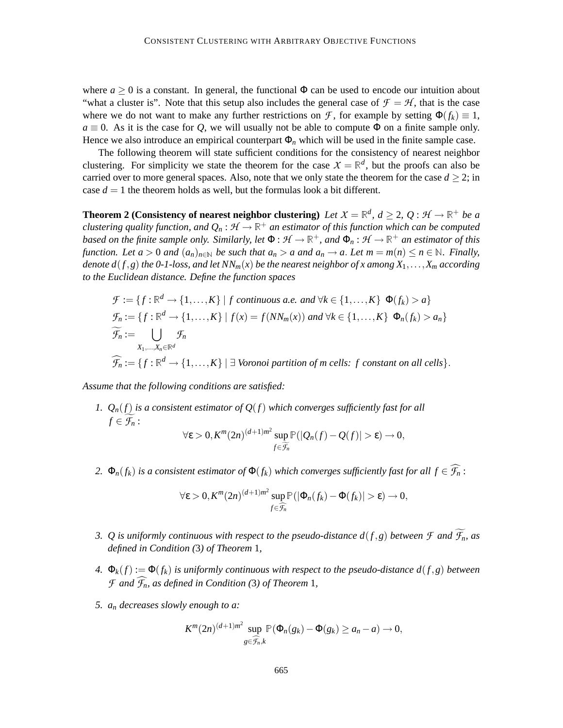where  $a \ge 0$  is a constant. In general, the functional  $\Phi$  can be used to encode our intuition about "what a cluster is". Note that this setup also includes the general case of  $\mathcal{F} = \mathcal{H}$ , that is the case where we do not want to make any further restrictions on *F*, for example by setting  $\Phi(f_k) \equiv 1$ ,  $a \equiv 0$ . As it is the case for *Q*, we will usually not be able to compute  $\Phi$  on a finite sample only. Hence we also introduce an empirical counterpart  $\Phi_n$  which will be used in the finite sample case.

The following theorem will state sufficient conditions for the consistency of nearest neighbor clustering. For simplicity we state the theorem for the case  $X = \mathbb{R}^d$ , but the proofs can also be carried over to more general spaces. Also, note that we only state the theorem for the case  $d \geq 2$ ; in case  $d = 1$  the theorem holds as well, but the formulas look a bit different.

**Theorem 2** (Consistency of nearest neighbor clustering) *Let*  $X = \mathbb{R}^d$ ,  $d \geq 2$ ,  $Q: \mathcal{H} \to \mathbb{R}^+$  *be a clustering quality function, and*  $Q_n : \mathcal{H} \to \mathbb{R}^+$  *an estimator of this function which can be computed based on the finite sample only. Similarly, let*  $\Phi : \mathcal{H} \to \mathbb{R}^+$ *, and*  $\Phi_n : \mathcal{H} \to \mathbb{R}^+$  *an estimator of this function. Let*  $a > 0$  *and*  $(a_n)_{n \in \mathbb{N}}$  *be such that*  $a_n > a$  *and*  $a_n \to a$ *. Let*  $m = m(n) \le n \in \mathbb{N}$ *. Finally, denote*  $d(f, g)$  *the 0-1-loss, and let*  $NN_m(x)$  *be the nearest neighbor of x among*  $X_1, \ldots, X_m$  *according to the Euclidean distance. Define the function spaces*

$$
\mathcal{F} := \{ f : \mathbb{R}^d \to \{1, ..., K\} \mid f \text{ continuous a.e. and } \forall k \in \{1, ..., K\} \ \Phi(f_k) > a \}
$$
\n
$$
\mathcal{F}_n := \{ f : \mathbb{R}^d \to \{1, ..., K\} \mid f(x) = f(NN_m(x)) \text{ and } \forall k \in \{1, ..., K\} \ \Phi_n(f_k) > a_n \}
$$
\n
$$
\widetilde{\mathcal{F}_n} := \bigcup_{X_1, ..., X_n \in \mathbb{R}^d} \mathcal{F}_n
$$
\n
$$
\widehat{\mathcal{F}_n} := \{ f : \mathbb{R}^d \to \{1, ..., K\} \mid \exists \text{ Voronoi partition of } m \text{ cells: } f \text{ constant on all cells} \}.
$$

*Assume that the following conditions are satisfied:*

- *1. Qn*(*f*) *is a consistent estimator of Q*(*f*) *which converges sufficiently fast for all*  $f \in \mathcal{F}_n$ :  $\forall \varepsilon > 0, K^m(2n)^{(d+1)m^2} \sup_{f \in \widetilde{\mathcal{F}_n}} \mathbb{P}(|Q_n(f) - Q(f)| > \varepsilon) \to 0,$
- *2.*  $\Phi_n(f_k)$  *is a consistent estimator of*  $\Phi(f_k)$  *which converges sufficiently fast for all*  $f \in \widehat{\mathcal{F}_n}$ *:*

$$
\forall \varepsilon > 0, K^m(2n)^{(d+1)m^2} \sup_{f \in \widehat{\mathcal{F}_n}} \mathbb{P}(|\Phi_n(f_k) - \Phi(f_k)| > \varepsilon) \to 0,
$$

- *3. Q is uniformly continuous with respect to the pseudo-distance*  $d(f,g)$  *between*  $\mathcal F$  *and*  $\widetilde{\mathcal F}_n$ *, as defined in Condition (*3*) of Theorem* 1*,*
- *4.*  $\Phi_k(f) := \Phi(f_k)$  *is uniformly continuous with respect to the pseudo-distance*  $d(f, g)$  *between F* and  $\widehat{\mathcal{F}}_n$ , as defined in Condition (3) of Theorem 1,
- *5. a<sup>n</sup> decreases slowly enough to a:*

$$
K^m(2n)^{(d+1)m^2}\sup_{g\in\widehat{\mathcal{F}}_n,k}\mathbb{P}(\Phi_n(g_k)-\Phi(g_k)\geq a_n-a)\to 0,
$$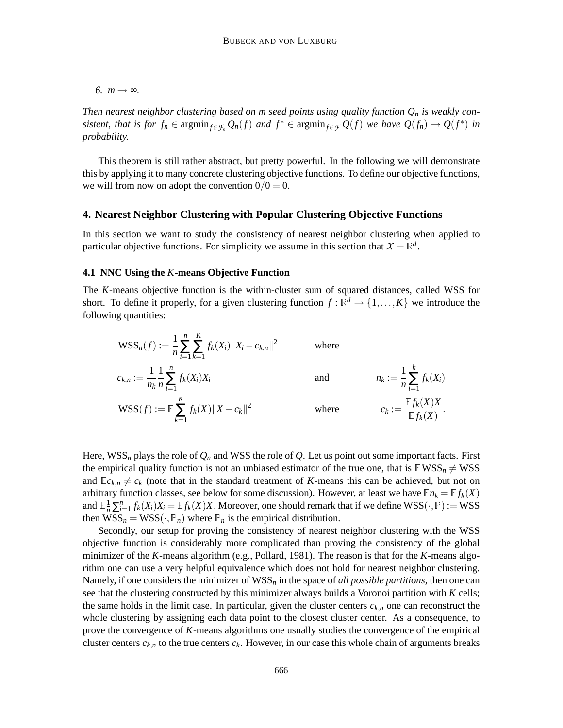*6.*  $m \rightarrow \infty$ .

*Then nearest neighbor clustering based on m seed points using quality function*  $Q_n$  *is weakly con*sistent, that is for  $f_n \in \operatorname{argmin}_{f \in \mathcal{F}_n} Q_n(f)$  and  $f^* \in \operatorname{argmin}_{f \in \mathcal{F}} Q(f)$  we have  $Q(f_n) \to Q(f^*)$  in *probability.*

This theorem is still rather abstract, but pretty powerful. In the following we will demonstrate this by applying it to many concrete clustering objective functions. To define our objective functions, we will from now on adopt the convention  $0/0 = 0$ .

#### **4. Nearest Neighbor Clustering with Popular Clustering Objective Functions**

In this section we want to study the consistency of nearest neighbor clustering when applied to particular objective functions. For simplicity we assume in this section that  $X = \mathbb{R}^d$ .

#### **4.1 NNC Using the** *K***-means Objective Function**

The *K*-means objective function is the within-cluster sum of squared distances, called WSS for short. To define it properly, for a given clustering function  $f : \mathbb{R}^d \to \{1, ..., K\}$  we introduce the following quantities:

$$
\begin{aligned}\n\text{WSS}_n(f) &:= \frac{1}{n} \sum_{i=1}^n \sum_{k=1}^K f_k(X_i) \|X_i - c_{k,n}\|^2 &\text{where} \\
c_{k,n} &:= \frac{1}{n_k} \frac{1}{n} \sum_{i=1}^n f_k(X_i) X_i &\text{and} & n_k &:= \frac{1}{n} \sum_{i=1}^k f_k(X_i) \\
\text{WSS}(f) &:= \mathbb{E} \sum_{k=1}^K f_k(X) \|X - c_k\|^2 &\text{where} & c_k &:= \frac{\mathbb{E} f_k(X) X}{\mathbb{E} f_k(X)}.\n\end{aligned}
$$

Here,  $WSS_n$  plays the role of  $Q_n$  and WSS the role of  $Q$ . Let us point out some important facts. First the empirical quality function is not an unbiased estimator of the true one, that is  $EWS_n \neq WSS$ and  $\mathbb{E}c_{k,n} \neq c_k$  (note that in the standard treatment of *K*-means this can be achieved, but not on arbitrary function classes, see below for some discussion). However, at least we have  $\mathbb{E} n_k = \mathbb{E} f_k(X)$ and  $\mathbb{E} \frac{1}{n} \sum_{i=1}^{n} f_k(X_i) X_i = \mathbb{E} f_k(X) X$ . Moreover, one should remark that if we define  $WSS(\cdot, \mathbb{P}) := WSS$ then  $WSS_n = WSS(\cdot, \mathbb{P}_n)$  where  $\mathbb{P}_n$  is the empirical distribution.

Secondly, our setup for proving the consistency of nearest neighbor clustering with the WSS objective function is considerably more complicated than proving the consistency of the global minimizer of the *K*-means algorithm (e.g., Pollard, 1981). The reason is that for the *K*-means algorithm one can use a very helpful equivalence which does not hold for nearest neighbor clustering. Namely, if one considers the minimizer of  $WSS_n$  in the space of *all possible partitions*, then one can see that the clustering constructed by this minimizer always builds a Voronoi partition with *K* cells; the same holds in the limit case. In particular, given the cluster centers  $c_{k,n}$  one can reconstruct the whole clustering by assigning each data point to the closest cluster center. As a consequence, to prove the convergence of *K*-means algorithms one usually studies the convergence of the empirical cluster centers  $c_{k,n}$  to the true centers  $c_k$ . However, in our case this whole chain of arguments breaks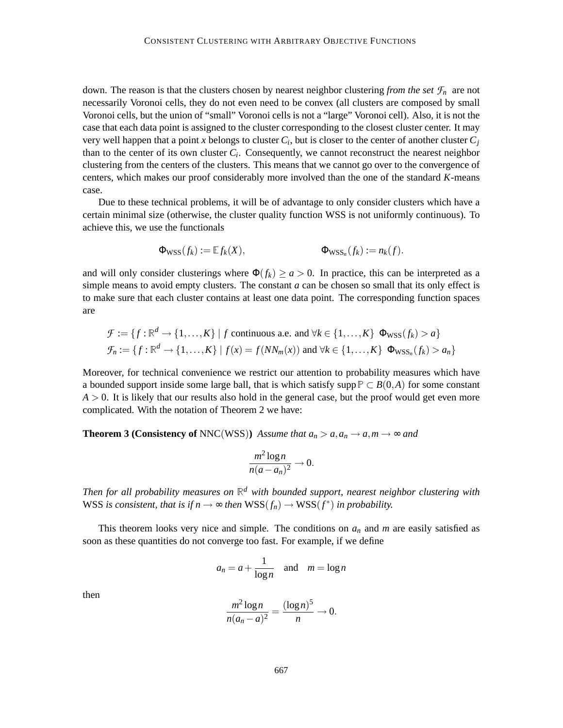down. The reason is that the clusters chosen by nearest neighbor clustering *from the set*  $\mathcal{F}_n$  are not necessarily Voronoi cells, they do not even need to be convex (all clusters are composed by small Voronoi cells, but the union of "small" Voronoi cells is not a "large" Voronoi cell). Also, it is not the case that each data point is assigned to the cluster corresponding to the closest cluster center. It may very well happen that a point *x* belongs to cluster *C<sup>i</sup>* , but is closer to the center of another cluster *C<sup>j</sup>* than to the center of its own cluster *C<sup>i</sup>* . Consequently, we cannot reconstruct the nearest neighbor clustering from the centers of the clusters. This means that we cannot go over to the convergence of centers, which makes our proof considerably more involved than the one of the standard *K*-means case.

Due to these technical problems, it will be of advantage to only consider clusters which have a certain minimal size (otherwise, the cluster quality function WSS is not uniformly continuous). To achieve this, we use the functionals

$$
\Phi_{\text{WSS}}(f_k) := \mathbb{E} f_k(X), \qquad \qquad \Phi_{\text{WSS}_n}(f_k) := n_k(f).
$$

and will only consider clusterings where  $\Phi(f_k) \ge a > 0$ . In practice, this can be interpreted as a simple means to avoid empty clusters. The constant *a* can be chosen so small that its only effect is to make sure that each cluster contains at least one data point. The corresponding function spaces are

$$
\mathcal{F} := \{f : \mathbb{R}^d \to \{1, \dots, K\} \mid f \text{ continuous a.e. and } \forall k \in \{1, \dots, K\} \text{ } \Phi_{WSS}(f_k) > a\}
$$
  

$$
\mathcal{F}_n := \{f : \mathbb{R}^d \to \{1, \dots, K\} \mid f(x) = f(NN_m(x)) \text{ and } \forall k \in \{1, \dots, K\} \text{ } \Phi_{WSS_n}(f_k) > a_n\}
$$

Moreover, for technical convenience we restrict our attention to probability measures which have a bounded support inside some large ball, that is which satisfy supp  $P \subset B(0,A)$  for some constant  $A > 0$ . It is likely that our results also hold in the general case, but the proof would get even more complicated. With the notation of Theorem 2 we have:

**Theorem 3 (Consistency of** NNC(WSS)) *Assume that*  $a_n > a, a_n \to a, m \to \infty$  and

$$
\frac{m^2\log n}{n(a-a_n)^2}\to 0.
$$

*Then for all probability measures on* <sup>R</sup>*<sup>d</sup> with bounded support, nearest neighbor clustering with* WSS *is consistent, that is if*  $n \to \infty$  *then*  $WSS(f_n) \to WSS(f^*)$  *in probability.* 

This theorem looks very nice and simple. The conditions on *a<sup>n</sup>* and *m* are easily satisfied as soon as these quantities do not converge too fast. For example, if we define

$$
a_n = a + \frac{1}{\log n} \quad \text{and} \quad m = \log n
$$

then

$$
\frac{m^2 \log n}{n(a_n - a)^2} = \frac{(\log n)^5}{n} \to 0.
$$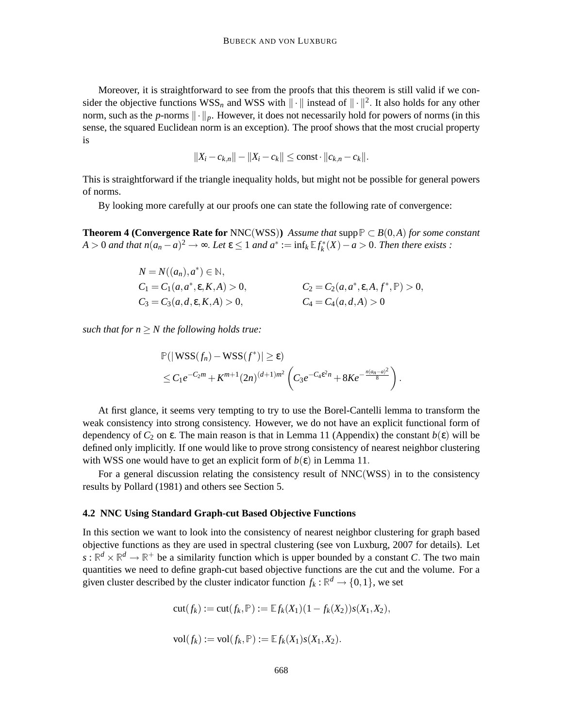Moreover, it is straightforward to see from the proofs that this theorem is still valid if we consider the objective functions  $WSS_n$  and WSS with  $\|\cdot\|$  instead of  $\|\cdot\|^2$ . It also holds for any other norm, such as the *p*-norms  $\|\cdot\|_p$ . However, it does not necessarily hold for powers of norms (in this sense, the squared Euclidean norm is an exception). The proof shows that the most crucial property is

$$
||X_i - c_{k,n}|| - ||X_i - c_k|| \le \text{const} \cdot ||c_{k,n} - c_k||.
$$

This is straightforward if the triangle inequality holds, but might not be possible for general powers of norms.

By looking more carefully at our proofs one can state the following rate of convergence:

**Theorem 4 (Convergence Rate for** NNC(WSS)) *Assume that* supp  $P \subset B(0,A)$  *for some constant*  $A > 0$  *and that*  $n(a_n - a)^2 \to \infty$ . Let  $\epsilon \leq 1$  *and*  $a^* := \inf_k \mathbb{E} f_k^*(X) - a > 0$ . Then there exists :

$$
N = N((a_n), a^*) \in \mathbb{N},
$$
  
\n
$$
C_1 = C_1(a, a^*, \varepsilon, K, A) > 0,
$$
  
\n
$$
C_2 = C_2(a, a^*, \varepsilon, A, f^*, \mathbb{P}) > 0,
$$
  
\n
$$
C_3 = C_3(a, d, \varepsilon, K, A) > 0,
$$
  
\n
$$
C_4 = C_4(a, d, A) > 0
$$

*such that for n* ≥ *N the following holds true:*

$$
\mathbb{P}(|\mathbf{WSS}(f_n) - \mathbf{WSS}(f^*)| \geq \varepsilon)
$$
  
\$\leq C\_1e^{-C\_2m} + K^{m+1}(2n)^{(d+1)m^2} \left(C\_3e^{-C\_4\varepsilon^2n} + 8Ke^{-\frac{n(a\_n-a)^2}{8}}\right)\$.

At first glance, it seems very tempting to try to use the Borel-Cantelli lemma to transform the weak consistency into strong consistency. However, we do not have an explicit functional form of dependency of  $C_2$  on  $\varepsilon$ . The main reason is that in Lemma 11 (Appendix) the constant  $b(\varepsilon)$  will be defined only implicitly. If one would like to prove strong consistency of nearest neighbor clustering with WSS one would have to get an explicit form of  $b(\varepsilon)$  in Lemma 11.

For a general discussion relating the consistency result of NNC(WSS) in to the consistency results by Pollard (1981) and others see Section 5.

#### **4.2 NNC Using Standard Graph-cut Based Objective Functions**

In this section we want to look into the consistency of nearest neighbor clustering for graph based objective functions as they are used in spectral clustering (see von Luxburg, 2007 for details). Let  $s: \mathbb{R}^d \times \mathbb{R}^d \to \mathbb{R}^+$  be a similarity function which is upper bounded by a constant *C*. The two main quantities we need to define graph-cut based objective functions are the cut and the volume. For a given cluster described by the cluster indicator function  $f_k : \mathbb{R}^d \to \{0,1\}$ , we set

$$
cut(f_k) := cut(f_k, \mathbb{P}) := \mathbb{E} f_k(X_1)(1 - f_k(X_2))s(X_1, X_2),
$$

$$
\mathrm{vol}(f_k) := \mathrm{vol}(f_k, \mathbb{P}) := \mathbb{E} f_k(X_1) s(X_1, X_2).
$$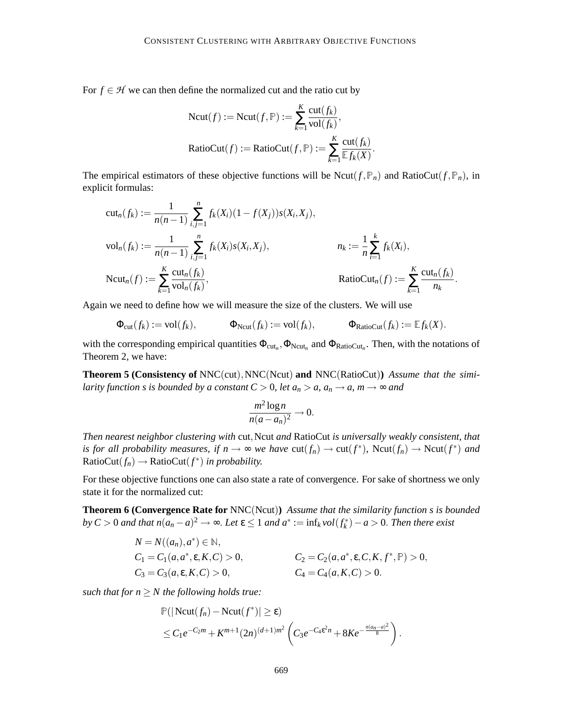For  $f \in H$  we can then define the normalized cut and the ratio cut by

$$
Ncut(f) := Ncut(f, \mathbb{P}) := \sum_{k=1}^{K} \frac{\text{cut}(f_k)}{\text{vol}(f_k)},
$$
  

$$
RatioCut(f) := RatioCut(f, \mathbb{P}) := \sum_{k=1}^{K} \frac{\text{cut}(f_k)}{\mathbb{E}f_k(X)}.
$$

The empirical estimators of these objective functions will be Ncut( $f$ ,  $\mathbb{P}_n$ ) and RatioCut( $f$ ,  $\mathbb{P}_n$ ), in explicit formulas:

$$
cut_n(f_k) := \frac{1}{n(n-1)} \sum_{i,j=1}^n f_k(X_i)(1 - f(X_j))s(X_i, X_j),
$$
  
\n
$$
vol_n(f_k) := \frac{1}{n(n-1)} \sum_{i,j=1}^n f_k(X_i)s(X_i, X_j),
$$
  
\n
$$
nu_k := \frac{1}{n} \sum_{i=1}^k f_k(X_i),
$$
  
\n
$$
ReLU_n(f) := \sum_{k=1}^K \frac{cut_n(f_k)}{vol_n(f_k)},
$$
  
\n
$$
RatioCut_n(f) := \sum_{k=1}^K \frac{cut_n(f_k)}{nu_k}.
$$

Again we need to define how we will measure the size of the clusters. We will use

$$
\Phi_{\text{cut}}(f_k) := \text{vol}(f_k), \qquad \Phi_{\text{Ncut}}(f_k) := \text{vol}(f_k), \qquad \Phi_{\text{RatioCut}}(f_k) := \mathbb{E} f_k(X).
$$

with the corresponding empirical quantities  $\Phi_{\text{cut}_n}$ ,  $\Phi_{\text{Neut}_n}$  and  $\Phi_{\text{RatioCut}_n}$ . Then, with the notations of Theorem 2, we have:

**Theorem 5 (Consistency of** NNC(cut),NNC(Ncut) **and** NNC(RatioCut)**)** *Assume that the similarity function s is bounded by a constant*  $C > 0$ *, let*  $a_n > a$ *,*  $a_n \rightarrow a$ *, m*  $\rightarrow \infty$  *and* 

$$
\frac{m^2\log n}{n(a-a_n)^2}\to 0.
$$

*Then nearest neighbor clustering with* cut,Ncut *and* RatioCut *is universally weakly consistent, that is for all probability measures, if*  $n \to \infty$  *we have*  $cut(f_n) \to cut(f^*)$ ,  $Ncut(f_n) \to Ncut(f^*)$  *and*  $RatioCut(f_n) \rightarrow RatioCut(f^*)$  *in probability.* 

For these objective functions one can also state a rate of convergence. For sake of shortness we only state it for the normalized cut:

**Theorem 6 (Convergence Rate for** NNC(Ncut)**)** *Assume that the similarity function s is bounded*  $by C > 0$  and that  $n(a_n - a)^2 \to \infty$ . Let  $\varepsilon \leq 1$  and  $a^* := \inf_k vol(f_k^*) - a > 0$ . Then there exist

$$
N = N((a_n), a^*) \in \mathbb{N},
$$
  
\n
$$
C_1 = C_1(a, a^*, \varepsilon, K, C) > 0,
$$
  
\n
$$
C_2 = C_2(a, a^*, \varepsilon, C, K, f^*, \mathbb{P}) > 0,
$$
  
\n
$$
C_3 = C_3(a, \varepsilon, K, C) > 0,
$$
  
\n
$$
C_4 = C_4(a, K, C) > 0.
$$

*such that for*  $n \geq N$  *the following holds true:* 

$$
\mathbb{P}(|\mathrm{Ncut}(f_n) - \mathrm{Ncut}(f^*)| \geq \varepsilon)
$$
  
\$\leq C\_1 e^{-C\_2 m} + K^{m+1}(2n)^{(d+1)m^2} \left( C\_3 e^{-C\_4 \varepsilon^2 n} + 8Ke^{-\frac{n(a\_n-a)^2}{8}} \right).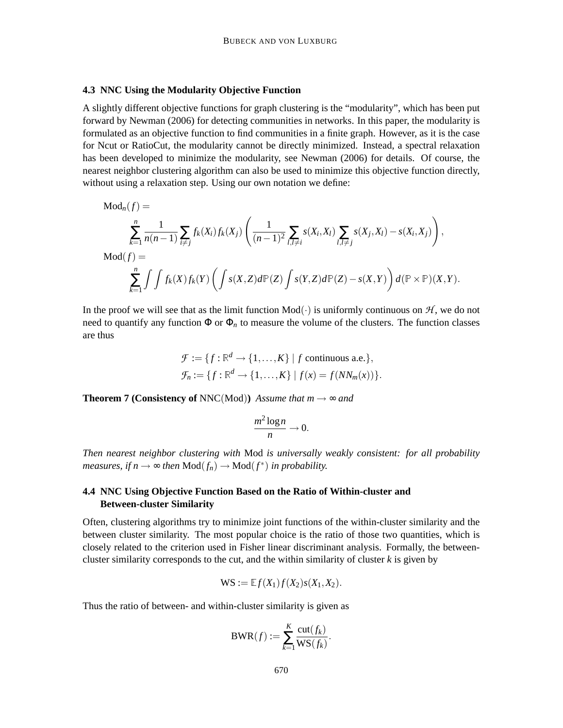#### **4.3 NNC Using the Modularity Objective Function**

A slightly different objective functions for graph clustering is the "modularity", which has been put forward by Newman (2006) for detecting communities in networks. In this paper, the modularity is formulated as an objective function to find communities in a finite graph. However, as it is the case for Ncut or RatioCut, the modularity cannot be directly minimized. Instead, a spectral relaxation has been developed to minimize the modularity, see Newman (2006) for details. Of course, the nearest neighbor clustering algorithm can also be used to minimize this objective function directly, without using a relaxation step. Using our own notation we define:

$$
Mod_n(f) =
$$
\n
$$
\sum_{k=1}^n \frac{1}{n(n-1)} \sum_{i \neq j} f_k(X_i) f_k(X_j) \left( \frac{1}{(n-1)^2} \sum_{l,l \neq i} s(X_i, X_l) \sum_{l,l \neq j} s(X_j, X_l) - s(X_i, X_j) \right),
$$
\n
$$
Mod(f) =
$$
\n
$$
\sum_{k=1}^n \int \int f_k(X) f_k(Y) \left( \int s(X, Z) d\mathbb{P}(Z) \int s(Y, Z) d\mathbb{P}(Z) - s(X, Y) \right) d(\mathbb{P} \times \mathbb{P})(X, Y).
$$

In the proof we will see that as the limit function  $Mod(.)$  is uniformly continuous on  $H$ , we do not need to quantify any function  $\Phi$  or  $\Phi_n$  to measure the volume of the clusters. The function classes are thus

$$
\mathcal{F} := \{f : \mathbb{R}^d \to \{1, \dots, K\} \mid f \text{ continuous a.e.}\},
$$
  

$$
\mathcal{F}_n := \{f : \mathbb{R}^d \to \{1, \dots, K\} \mid f(x) = f(NN_m(x))\}.
$$

**Theorem 7 (Consistency of** NNC(Mod)) *Assume that*  $m \rightarrow \infty$  *and* 

$$
\frac{m^2\log n}{n}\to 0.
$$

*Then nearest neighbor clustering with* Mod *is universally weakly consistent: for all probability measures, if*  $n \to \infty$  *then*  $\text{Mod}(f_n) \to \text{Mod}(f^*)$  *in probability.* 

# **4.4 NNC Using Objective Function Based on the Ratio of Within-cluster and Between-cluster Similarity**

Often, clustering algorithms try to minimize joint functions of the within-cluster similarity and the between cluster similarity. The most popular choice is the ratio of those two quantities, which is closely related to the criterion used in Fisher linear discriminant analysis. Formally, the betweencluster similarity corresponds to the cut, and the within similarity of cluster *k* is given by

$$
WS := \mathbb{E}f(X_1)f(X_2)s(X_1,X_2).
$$

Thus the ratio of between- and within-cluster similarity is given as

$$
BWR(f) := \sum_{k=1}^{K} \frac{\text{cut}(f_k)}{WS(f_k)}.
$$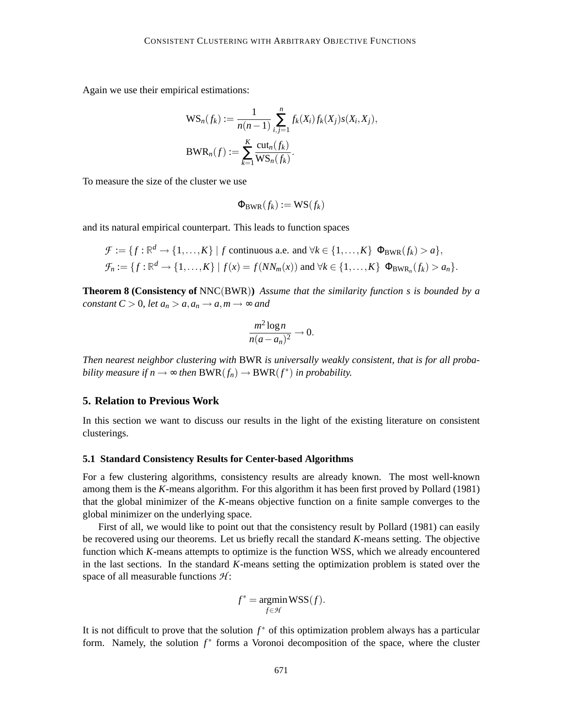Again we use their empirical estimations:

$$
WS_n(f_k) := \frac{1}{n(n-1)} \sum_{i,j=1}^n f_k(X_i) f_k(X_j) s(X_i, X_j),
$$
  
\n
$$
BWR_n(f) := \sum_{k=1}^K \frac{\text{cut}_n(f_k)}{WS_n(f_k)}.
$$

To measure the size of the cluster we use

$$
\Phi_{\text{BWR}}(f_k) := \text{WS}(f_k)
$$

and its natural empirical counterpart. This leads to function spaces

$$
\mathcal{F} := \{f : \mathbb{R}^d \to \{1, \ldots, K\} \mid f \text{ continuous a.e. and } \forall k \in \{1, \ldots, K\} \Phi_{\text{BWR}}(f_k) > a\},
$$
  

$$
\mathcal{F}_n := \{f : \mathbb{R}^d \to \{1, \ldots, K\} \mid f(x) = f(NN_m(x)) \text{ and } \forall k \in \{1, \ldots, K\} \Phi_{\text{BWR}_n}(f_k) > a_n\}.
$$

**Theorem 8 (Consistency of** NNC(BWR)**)** *Assume that the similarity function s is bounded by a constant*  $C > 0$ *, let*  $a_n > a$ ,  $a_n \rightarrow a$ ,  $m \rightarrow \infty$  and

$$
\frac{m^2\log n}{n(a-a_n)^2}\to 0.
$$

*Then nearest neighbor clustering with* BWR *is universally weakly consistent, that is for all probability measure if*  $n \to \infty$  *then*  $BWR(f_n) \to BWR(f^*)$  *in probability.* 

# **5. Relation to Previous Work**

In this section we want to discuss our results in the light of the existing literature on consistent clusterings.

#### **5.1 Standard Consistency Results for Center-based Algorithms**

For a few clustering algorithms, consistency results are already known. The most well-known among them is the *K*-means algorithm. For this algorithm it has been first proved by Pollard (1981) that the global minimizer of the *K*-means objective function on a finite sample converges to the global minimizer on the underlying space.

First of all, we would like to point out that the consistency result by Pollard (1981) can easily be recovered using our theorems. Let us briefly recall the standard *K*-means setting. The objective function which *K*-means attempts to optimize is the function WSS, which we already encountered in the last sections. In the standard *K*-means setting the optimization problem is stated over the space of all measurable functions *H* :

$$
f^* = \operatorname*{argmin}_{f \in \mathcal{H}} \text{WSS}(f).
$$

It is not difficult to prove that the solution *f* ∗ of this optimization problem always has a particular form. Namely, the solution *f*<sup>\*</sup> forms a Voronoi decomposition of the space, where the cluster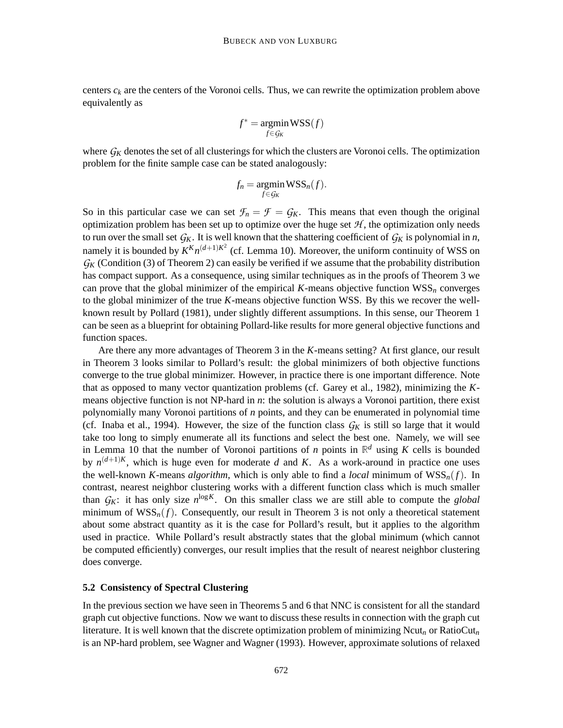centers  $c_k$  are the centers of the Voronoi cells. Thus, we can rewrite the optimization problem above equivalently as

$$
f^* = \operatornamewithlimits{argmin}_{f \in \mathcal{G}_K} \text{WSS}(f)
$$

where  $G_K$  denotes the set of all clusterings for which the clusters are Voronoi cells. The optimization problem for the finite sample case can be stated analogously:

$$
f_n = \operatorname*{argmin}_{f \in \mathcal{G}_K} \text{WSS}_n(f).
$$

So in this particular case we can set  $\mathcal{F}_n = \mathcal{F} = G_K$ . This means that even though the original optimization problem has been set up to optimize over the huge set  $H$ , the optimization only needs to run over the small set  $G_K$ . It is well known that the shattering coefficient of  $G_K$  is polynomial in *n*, namely it is bounded by  $K^K n^{(d+1)K^2}$  (cf. Lemma 10). Moreover, the uniform continuity of WSS on  $G_K$  (Condition (3) of Theorem 2) can easily be verified if we assume that the probability distribution has compact support. As a consequence, using similar techniques as in the proofs of Theorem 3 we can prove that the global minimizer of the empirical  $K$ -means objective function  $WSS_n$  converges to the global minimizer of the true *K*-means objective function WSS. By this we recover the wellknown result by Pollard (1981), under slightly different assumptions. In this sense, our Theorem 1 can be seen as a blueprint for obtaining Pollard-like results for more general objective functions and function spaces.

Are there any more advantages of Theorem 3 in the *K*-means setting? At first glance, our result in Theorem 3 looks similar to Pollard's result: the global minimizers of both objective functions converge to the true global minimizer. However, in practice there is one important difference. Note that as opposed to many vector quantization problems (cf. Garey et al., 1982), minimizing the *K*means objective function is not NP-hard in *n*: the solution is always a Voronoi partition, there exist polynomially many Voronoi partitions of *n* points, and they can be enumerated in polynomial time (cf. Inaba et al., 1994). However, the size of the function class  $G_K$  is still so large that it would take too long to simply enumerate all its functions and select the best one. Namely, we will see in Lemma 10 that the number of Voronoi partitions of *n* points in  $\mathbb{R}^d$  using *K* cells is bounded by  $n^{(d+1)K}$ , which is huge even for moderate *d* and *K*. As a work-around in practice one uses the well-known *K*-means *algorithm*, which is only able to find a *local* minimum of WSS*n*(*f*). In contrast, nearest neighbor clustering works with a different function class which is much smaller than  $G_K$ : it has only size  $n^{\log K}$ . On this smaller class we are still able to compute the *global* minimum of  $WSS_n(f)$ . Consequently, our result in Theorem 3 is not only a theoretical statement about some abstract quantity as it is the case for Pollard's result, but it applies to the algorithm used in practice. While Pollard's result abstractly states that the global minimum (which cannot be computed efficiently) converges, our result implies that the result of nearest neighbor clustering does converge.

# **5.2 Consistency of Spectral Clustering**

In the previous section we have seen in Theorems 5 and 6 that NNC is consistent for all the standard graph cut objective functions. Now we want to discuss these results in connection with the graph cut literature. It is well known that the discrete optimization problem of minimizing Ncut*<sup>n</sup>* or RatioCut*<sup>n</sup>* is an NP-hard problem, see Wagner and Wagner (1993). However, approximate solutions of relaxed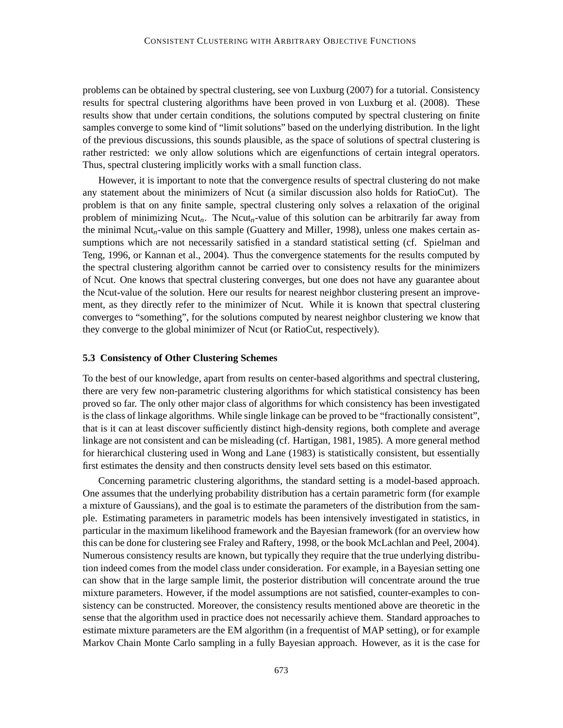problems can be obtained by spectral clustering, see von Luxburg (2007) for a tutorial. Consistency results for spectral clustering algorithms have been proved in von Luxburg et al. (2008). These results show that under certain conditions, the solutions computed by spectral clustering on finite samples converge to some kind of "limit solutions" based on the underlying distribution. In the light of the previous discussions, this sounds plausible, as the space of solutions of spectral clustering is rather restricted: we only allow solutions which are eigenfunctions of certain integral operators. Thus, spectral clustering implicitly works with a small function class.

However, it is important to note that the convergence results of spectral clustering do not make any statement about the minimizers of Ncut (a similar discussion also holds for RatioCut). The problem is that on any finite sample, spectral clustering only solves a relaxation of the original problem of minimizing Ncut*n*. The Ncut*n*-value of this solution can be arbitrarily far away from the minimal Ncut*n*-value on this sample (Guattery and Miller, 1998), unless one makes certain assumptions which are not necessarily satisfied in a standard statistical setting (cf. Spielman and Teng, 1996, or Kannan et al., 2004). Thus the convergence statements for the results computed by the spectral clustering algorithm cannot be carried over to consistency results for the minimizers of Ncut. One knows that spectral clustering converges, but one does not have any guarantee about the Ncut-value of the solution. Here our results for nearest neighbor clustering present an improvement, as they directly refer to the minimizer of Ncut. While it is known that spectral clustering converges to "something", for the solutions computed by nearest neighbor clustering we know that they converge to the global minimizer of Ncut (or RatioCut, respectively).

#### **5.3 Consistency of Other Clustering Schemes**

To the best of our knowledge, apart from results on center-based algorithms and spectral clustering, there are very few non-parametric clustering algorithms for which statistical consistency has been proved so far. The only other major class of algorithms for which consistency has been investigated is the class of linkage algorithms. While single linkage can be proved to be "fractionally consistent", that is it can at least discover sufficiently distinct high-density regions, both complete and average linkage are not consistent and can be misleading (cf. Hartigan, 1981, 1985). A more general method for hierarchical clustering used in Wong and Lane (1983) is statistically consistent, but essentially first estimates the density and then constructs density level sets based on this estimator.

Concerning parametric clustering algorithms, the standard setting is a model-based approach. One assumes that the underlying probability distribution has a certain parametric form (for example a mixture of Gaussians), and the goal is to estimate the parameters of the distribution from the sample. Estimating parameters in parametric models has been intensively investigated in statistics, in particular in the maximum likelihood framework and the Bayesian framework (for an overview how this can be done for clustering see Fraley and Raftery, 1998, or the book McLachlan and Peel, 2004). Numerous consistency results are known, but typically they require that the true underlying distribution indeed comes from the model class under consideration. For example, in a Bayesian setting one can show that in the large sample limit, the posterior distribution will concentrate around the true mixture parameters. However, if the model assumptions are not satisfied, counter-examples to consistency can be constructed. Moreover, the consistency results mentioned above are theoretic in the sense that the algorithm used in practice does not necessarily achieve them. Standard approaches to estimate mixture parameters are the EM algorithm (in a frequentist of MAP setting), or for example Markov Chain Monte Carlo sampling in a fully Bayesian approach. However, as it is the case for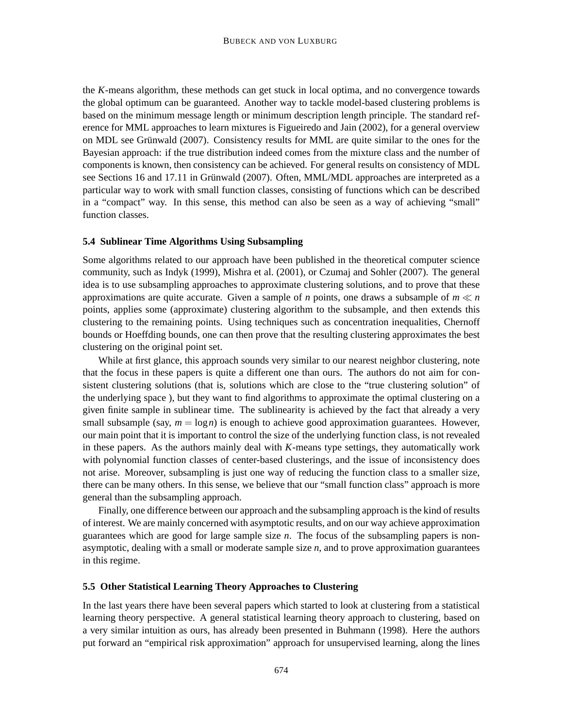the *K*-means algorithm, these methods can get stuck in local optima, and no convergence towards the global optimum can be guaranteed. Another way to tackle model-based clustering problems is based on the minimum message length or minimum description length principle. The standard reference for MML approaches to learn mixtures is Figueiredo and Jain (2002), for a general overview on MDL see Grünwald (2007). Consistency results for MML are quite similar to the ones for the Bayesian approach: if the true distribution indeed comes from the mixture class and the number of components is known, then consistency can be achieved. For general results on consistency of MDL see Sections 16 and 17.11 in Grünwald (2007). Often, MML/MDL approaches are interpreted as a particular way to work with small function classes, consisting of functions which can be described in a "compact" way. In this sense, this method can also be seen as a way of achieving "small" function classes.

### **5.4 Sublinear Time Algorithms Using Subsampling**

Some algorithms related to our approach have been published in the theoretical computer science community, such as Indyk (1999), Mishra et al. (2001), or Czumaj and Sohler (2007). The general idea is to use subsampling approaches to approximate clustering solutions, and to prove that these approximations are quite accurate. Given a sample of *n* points, one draws a subsample of  $m \ll n$ points, applies some (approximate) clustering algorithm to the subsample, and then extends this clustering to the remaining points. Using techniques such as concentration inequalities, Chernoff bounds or Hoeffding bounds, one can then prove that the resulting clustering approximates the best clustering on the original point set.

While at first glance, this approach sounds very similar to our nearest neighbor clustering, note that the focus in these papers is quite a different one than ours. The authors do not aim for consistent clustering solutions (that is, solutions which are close to the "true clustering solution" of the underlying space ), but they want to find algorithms to approximate the optimal clustering on a given finite sample in sublinear time. The sublinearity is achieved by the fact that already a very small subsample (say,  $m = \log n$ ) is enough to achieve good approximation guarantees. However, our main point that it is important to control the size of the underlying function class, is not revealed in these papers. As the authors mainly deal with *K*-means type settings, they automatically work with polynomial function classes of center-based clusterings, and the issue of inconsistency does not arise. Moreover, subsampling is just one way of reducing the function class to a smaller size, there can be many others. In this sense, we believe that our "small function class" approach is more general than the subsampling approach.

Finally, one difference between our approach and the subsampling approach is the kind of results of interest. We are mainly concerned with asymptotic results, and on our way achieve approximation guarantees which are good for large sample size *n*. The focus of the subsampling papers is nonasymptotic, dealing with a small or moderate sample size *n*, and to prove approximation guarantees in this regime.

# **5.5 Other Statistical Learning Theory Approaches to Clustering**

In the last years there have been several papers which started to look at clustering from a statistical learning theory perspective. A general statistical learning theory approach to clustering, based on a very similar intuition as ours, has already been presented in Buhmann (1998). Here the authors put forward an "empirical risk approximation" approach for unsupervised learning, along the lines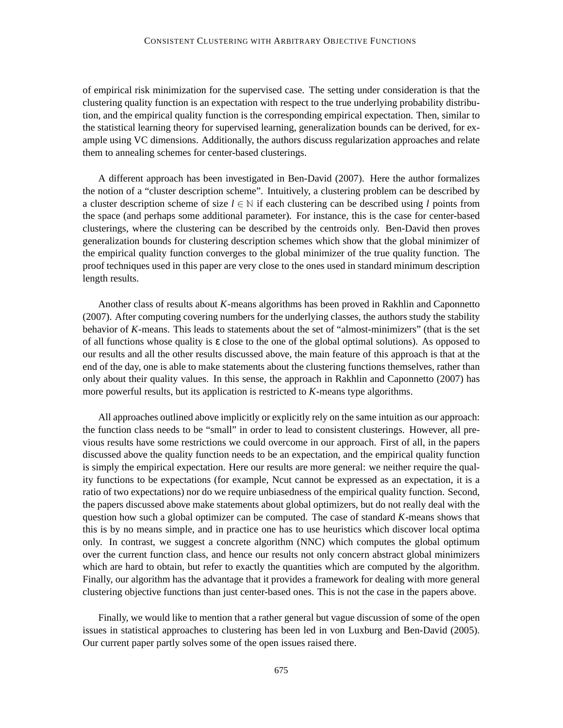#### CONSISTENT CLUSTERING WITH ARBITRARY OBJECTIVE FUNCTIONS

of empirical risk minimization for the supervised case. The setting under consideration is that the clustering quality function is an expectation with respect to the true underlying probability distribution, and the empirical quality function is the corresponding empirical expectation. Then, similar to the statistical learning theory for supervised learning, generalization bounds can be derived, for example using VC dimensions. Additionally, the authors discuss regularization approaches and relate them to annealing schemes for center-based clusterings.

A different approach has been investigated in Ben-David (2007). Here the author formalizes the notion of a "cluster description scheme". Intuitively, a clustering problem can be described by a cluster description scheme of size *l* ∈ <sup>N</sup> if each clustering can be described using *l* points from the space (and perhaps some additional parameter). For instance, this is the case for center-based clusterings, where the clustering can be described by the centroids only. Ben-David then proves generalization bounds for clustering description schemes which show that the global minimizer of the empirical quality function converges to the global minimizer of the true quality function. The proof techniques used in this paper are very close to the ones used in standard minimum description length results.

Another class of results about *K*-means algorithms has been proved in Rakhlin and Caponnetto (2007). After computing covering numbers for the underlying classes, the authors study the stability behavior of *K*-means. This leads to statements about the set of "almost-minimizers" (that is the set of all functions whose quality is ε close to the one of the global optimal solutions). As opposed to our results and all the other results discussed above, the main feature of this approach is that at the end of the day, one is able to make statements about the clustering functions themselves, rather than only about their quality values. In this sense, the approach in Rakhlin and Caponnetto (2007) has more powerful results, but its application is restricted to *K*-means type algorithms.

All approaches outlined above implicitly or explicitly rely on the same intuition as our approach: the function class needs to be "small" in order to lead to consistent clusterings. However, all previous results have some restrictions we could overcome in our approach. First of all, in the papers discussed above the quality function needs to be an expectation, and the empirical quality function is simply the empirical expectation. Here our results are more general: we neither require the quality functions to be expectations (for example, Ncut cannot be expressed as an expectation, it is a ratio of two expectations) nor do we require unbiasedness of the empirical quality function. Second, the papers discussed above make statements about global optimizers, but do not really deal with the question how such a global optimizer can be computed. The case of standard *K*-means shows that this is by no means simple, and in practice one has to use heuristics which discover local optima only. In contrast, we suggest a concrete algorithm (NNC) which computes the global optimum over the current function class, and hence our results not only concern abstract global minimizers which are hard to obtain, but refer to exactly the quantities which are computed by the algorithm. Finally, our algorithm has the advantage that it provides a framework for dealing with more general clustering objective functions than just center-based ones. This is not the case in the papers above.

Finally, we would like to mention that a rather general but vague discussion of some of the open issues in statistical approaches to clustering has been led in von Luxburg and Ben-David (2005). Our current paper partly solves some of the open issues raised there.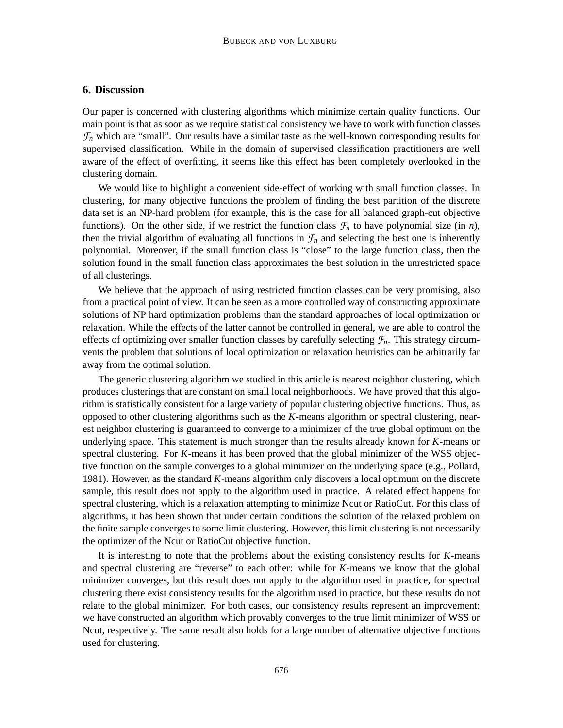# **6. Discussion**

Our paper is concerned with clustering algorithms which minimize certain quality functions. Our main point is that as soon as we require statistical consistency we have to work with function classes  $\mathcal{F}_n$  which are "small". Our results have a similar taste as the well-known corresponding results for supervised classification. While in the domain of supervised classification practitioners are well aware of the effect of overfitting, it seems like this effect has been completely overlooked in the clustering domain.

We would like to highlight a convenient side-effect of working with small function classes. In clustering, for many objective functions the problem of finding the best partition of the discrete data set is an NP-hard problem (for example, this is the case for all balanced graph-cut objective functions). On the other side, if we restrict the function class  $\mathcal{F}_n$  to have polynomial size (in *n*), then the trivial algorithm of evaluating all functions in  $\mathcal{F}_n$  and selecting the best one is inherently polynomial. Moreover, if the small function class is "close" to the large function class, then the solution found in the small function class approximates the best solution in the unrestricted space of all clusterings.

We believe that the approach of using restricted function classes can be very promising, also from a practical point of view. It can be seen as a more controlled way of constructing approximate solutions of NP hard optimization problems than the standard approaches of local optimization or relaxation. While the effects of the latter cannot be controlled in general, we are able to control the effects of optimizing over smaller function classes by carefully selecting  $\mathcal{F}_n$ . This strategy circumvents the problem that solutions of local optimization or relaxation heuristics can be arbitrarily far away from the optimal solution.

The generic clustering algorithm we studied in this article is nearest neighbor clustering, which produces clusterings that are constant on small local neighborhoods. We have proved that this algorithm is statistically consistent for a large variety of popular clustering objective functions. Thus, as opposed to other clustering algorithms such as the *K*-means algorithm or spectral clustering, nearest neighbor clustering is guaranteed to converge to a minimizer of the true global optimum on the underlying space. This statement is much stronger than the results already known for *K*-means or spectral clustering. For *K*-means it has been proved that the global minimizer of the WSS objective function on the sample converges to a global minimizer on the underlying space (e.g., Pollard, 1981). However, as the standard *K*-means algorithm only discovers a local optimum on the discrete sample, this result does not apply to the algorithm used in practice. A related effect happens for spectral clustering, which is a relaxation attempting to minimize Ncut or RatioCut. For this class of algorithms, it has been shown that under certain conditions the solution of the relaxed problem on the finite sample converges to some limit clustering. However, this limit clustering is not necessarily the optimizer of the Ncut or RatioCut objective function.

It is interesting to note that the problems about the existing consistency results for *K*-means and spectral clustering are "reverse" to each other: while for *K*-means we know that the global minimizer converges, but this result does not apply to the algorithm used in practice, for spectral clustering there exist consistency results for the algorithm used in practice, but these results do not relate to the global minimizer. For both cases, our consistency results represent an improvement: we have constructed an algorithm which provably converges to the true limit minimizer of WSS or Ncut, respectively. The same result also holds for a large number of alternative objective functions used for clustering.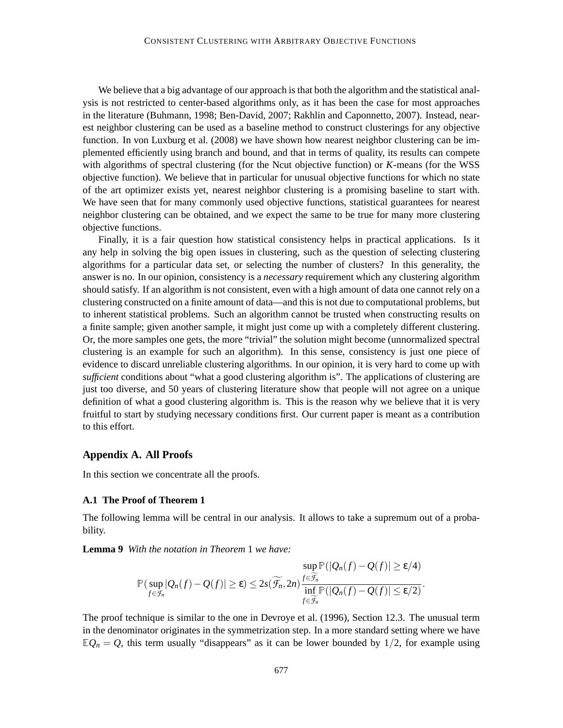We believe that a big advantage of our approach is that both the algorithm and the statistical analysis is not restricted to center-based algorithms only, as it has been the case for most approaches in the literature (Buhmann, 1998; Ben-David, 2007; Rakhlin and Caponnetto, 2007). Instead, nearest neighbor clustering can be used as a baseline method to construct clusterings for any objective function. In von Luxburg et al. (2008) we have shown how nearest neighbor clustering can be implemented efficiently using branch and bound, and that in terms of quality, its results can compete with algorithms of spectral clustering (for the Ncut objective function) or *K*-means (for the WSS objective function). We believe that in particular for unusual objective functions for which no state of the art optimizer exists yet, nearest neighbor clustering is a promising baseline to start with. We have seen that for many commonly used objective functions, statistical guarantees for nearest neighbor clustering can be obtained, and we expect the same to be true for many more clustering objective functions.

Finally, it is a fair question how statistical consistency helps in practical applications. Is it any help in solving the big open issues in clustering, such as the question of selecting clustering algorithms for a particular data set, or selecting the number of clusters? In this generality, the answer is no. In our opinion, consistency is a *necessary* requirement which any clustering algorithm should satisfy. If an algorithm is not consistent, even with a high amount of data one cannot rely on a clustering constructed on a finite amount of data—and this is not due to computational problems, but to inherent statistical problems. Such an algorithm cannot be trusted when constructing results on a finite sample; given another sample, it might just come up with a completely different clustering. Or, the more samples one gets, the more "trivial" the solution might become (unnormalized spectral clustering is an example for such an algorithm). In this sense, consistency is just one piece of evidence to discard unreliable clustering algorithms. In our opinion, it is very hard to come up with *sufficient* conditions about "what a good clustering algorithm is". The applications of clustering are just too diverse, and 50 years of clustering literature show that people will not agree on a unique definition of what a good clustering algorithm is. This is the reason why we believe that it is very fruitful to start by studying necessary conditions first. Our current paper is meant as a contribution to this effort.

# **Appendix A. All Proofs**

In this section we concentrate all the proofs.

#### **A.1 The Proof of Theorem 1**

The following lemma will be central in our analysis. It allows to take a supremum out of a probability.

**Lemma 9** *With the notation in Theorem* 1 *we have:*

$$
\mathbb{P}(\sup_{f\in\mathcal{F}_n} |Q_n(f)-Q(f)|\geq \varepsilon) \leq 2s(\widetilde{\mathcal{F}_n},2n) \frac{f\in\widetilde{\mathcal{F}_n}}{\inf_{f\in\widetilde{\mathcal{F}_n}} \mathbb{P}(|Q_n(f)-Q(f)|\leq \varepsilon/2)}.
$$

The proof technique is similar to the one in Devroye et al. (1996), Section 12.3. The unusual term in the denominator originates in the symmetrization step. In a more standard setting where we have  $\mathbb{E}Q_n = Q$ , this term usually "disappears" as it can be lower bounded by 1/2, for example using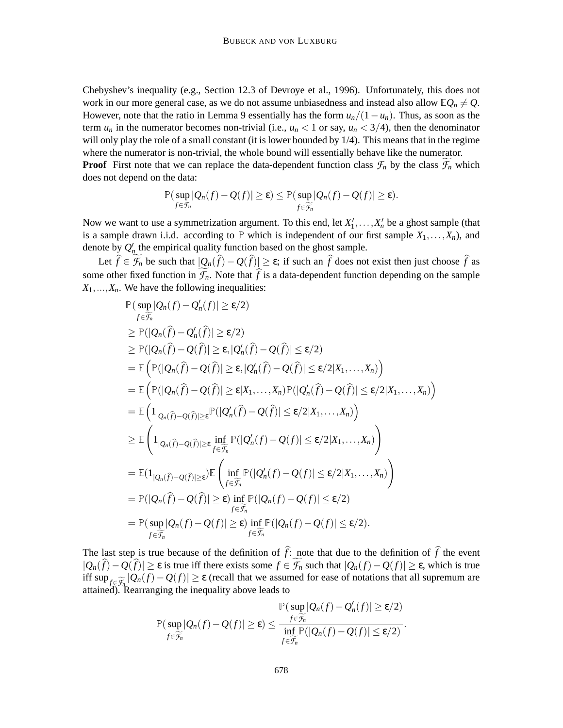Chebyshev's inequality (e.g., Section 12.3 of Devroye et al., 1996). Unfortunately, this does not work in our more general case, as we do not assume unbiasedness and instead also allow  $\mathbb{E}Q_n \neq Q$ . However, note that the ratio in Lemma 9 essentially has the form  $u_n/(1-u_n)$ . Thus, as soon as the term  $u_n$  in the numerator becomes non-trivial (i.e.,  $u_n < 1$  or say,  $u_n < 3/4$ ), then the denominator will only play the role of a small constant (it is lower bounded by  $1/4$ ). This means that in the regime where the numerator is non-trivial, the whole bound will essentially behave like the numerator. **Proof** First note that we can replace the data-dependent function class  $\mathcal{F}_n$  by the class  $\mathcal{F}_n$  which

does not depend on the data:

$$
\mathbb{P}(\sup_{f\in\mathcal{F}_n} |Q_n(f)-Q(f)|\geq \varepsilon)\leq \mathbb{P}(\sup_{f\in\widetilde{\mathcal{F}_n}} |Q_n(f)-Q(f)|\geq \varepsilon).
$$

Now we want to use a symmetrization argument. To this end, let  $X'_1, \ldots, X'_n$  be a ghost sample (that is a sample drawn i.i.d. according to  $\mathbb P$  which is independent of our first sample  $X_1, \ldots, X_n$ , and denote by  $Q'_n$  the empirical quality function based on the ghost sample.

Let  $\hat{f} \in \mathcal{F}_n$  be such that  $|Q_n(\hat{f}) - Q(\hat{f})| \geq \varepsilon$ ; if such an  $\hat{f}$  does not exist then just choose  $\hat{f}$  as some other fixed function in  $\widetilde{\mathcal{F}}_n$ . Note that  $\widehat{f}$  is a data-dependent function depending on the sample  $X_1, \ldots, X_n$ . We have the following inequalities:

$$
\mathbb{P}(\sup_{f\in\widetilde{\mathcal{F}}_n}|\mathcal{Q}_n(f)-\mathcal{Q}'_n(f)| \geq \varepsilon/2)
$$
\n
$$
\geq \mathbb{P}(|\mathcal{Q}_n(\widehat{f})-\mathcal{Q}'_n(\widehat{f})| \geq \varepsilon/2)
$$
\n
$$
\geq \mathbb{P}(|\mathcal{Q}_n(\widehat{f})-\mathcal{Q}(\widehat{f})| \geq \varepsilon, |\mathcal{Q}'_n(\widehat{f})-\mathcal{Q}(\widehat{f})| \leq \varepsilon/2)
$$
\n
$$
= \mathbb{E}\left(\mathbb{P}(|\mathcal{Q}_n(\widehat{f})-\mathcal{Q}(\widehat{f})| \geq \varepsilon, |\mathcal{Q}'_n(\widehat{f})-\mathcal{Q}(\widehat{f})| \leq \varepsilon/2|X_1,\ldots,X_n)\right)
$$
\n
$$
= \mathbb{E}\left(\mathbb{P}(|\mathcal{Q}_n(\widehat{f})-\mathcal{Q}(\widehat{f})| \geq \varepsilon|X_1,\ldots,X_n)\mathbb{P}(|\mathcal{Q}'_n(\widehat{f})-\mathcal{Q}(\widehat{f})| \leq \varepsilon/2|X_1,\ldots,X_n)\right)
$$
\n
$$
= \mathbb{E}\left(1_{|\mathcal{Q}_n(\widehat{f})-\mathcal{Q}(\widehat{f})| \geq \varepsilon} \mathbb{P}(|\mathcal{Q}'_n(\widehat{f})-\mathcal{Q}(\widehat{f})| \leq \varepsilon/2|X_1,\ldots,X_n)\right)
$$
\n
$$
\geq \mathbb{E}\left(1_{|\mathcal{Q}_n(\widehat{f})-\mathcal{Q}(\widehat{f})| \geq \varepsilon} \inf_{f\in\widetilde{\mathcal{F}}_n} \mathbb{P}(|\mathcal{Q}'_n(f)-\mathcal{Q}(f)| \leq \varepsilon/2|X_1,\ldots,X_n)\right)
$$
\n
$$
= \mathbb{E}(1_{|\mathcal{Q}_n(\widehat{f})-\mathcal{Q}(\widehat{f})| \geq \varepsilon}) \mathbb{E}\left(\inf_{f\in\widetilde{\mathcal{F}}_n} \mathbb{P}(|\mathcal{Q}'_n(f)-\mathcal{Q}(f)| \le
$$

The last step is true because of the definition of  $\hat{f}$ : note that due to the definition of  $\hat{f}$  the event  $|Q_n(\hat{f}) - Q(\hat{f})|$  ≥  $\varepsilon$  is true iff there exists some  $f \in \widetilde{\mathcal{F}}_n$  such that  $|Q_n(f) - Q(f)| \ge \varepsilon$ , which is true iff  $\sup_{f \in \widetilde{\mathcal{F}}_n} |Q_n(f) - Q(f)| \geq \varepsilon$  (recall that we assumed for ease of notations that all supremum are attained). Rearranging the inequality above leads to

$$
\mathbb{P}(\sup_{f \in \widetilde{\mathcal{F}_n}} |Q_n(f) - Q(f)| \geq \varepsilon) \leq \frac{f \in \widetilde{\mathcal{F}_n}}{\inf_{f \in \widetilde{\mathcal{F}_n}} \mathbb{P}(|Q_n(f) - Q(f)| \leq \varepsilon/2)}.
$$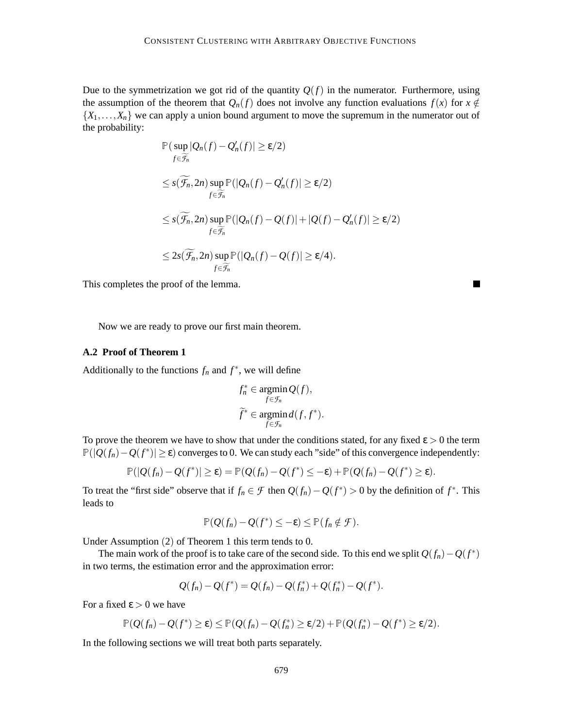Due to the symmetrization we got rid of the quantity  $Q(f)$  in the numerator. Furthermore, using the assumption of the theorem that  $Q_n(f)$  does not involve any function evaluations  $f(x)$  for  $x \notin$  $\{X_1, \ldots, X_n\}$  we can apply a union bound argument to move the supremum in the numerator out of the probability:

$$
\mathbb{P}(\sup_{f \in \widetilde{\mathcal{F}}_n} |Q_n(f) - Q'_n(f)| \ge \varepsilon/2)
$$
\n
$$
\le s(\widetilde{\mathcal{F}}_n, 2n) \sup_{f \in \widetilde{\mathcal{F}}_n} \mathbb{P}(|Q_n(f) - Q'_n(f)| \ge \varepsilon/2)
$$
\n
$$
\le s(\widetilde{\mathcal{F}}_n, 2n) \sup_{f \in \widetilde{\mathcal{F}}_n} \mathbb{P}(|Q_n(f) - Q(f)| + |Q(f) - Q'_n(f)| \ge \varepsilon/2)
$$
\n
$$
\le 2s(\widetilde{\mathcal{F}}_n, 2n) \sup_{f \in \widetilde{\mathcal{F}}_n} \mathbb{P}(|Q_n(f) - Q(f)| \ge \varepsilon/4).
$$

П

This completes the proof of the lemma.

Now we are ready to prove our first main theorem.

#### **A.2 Proof of Theorem 1**

Additionally to the functions  $f_n$  and  $f^*$ , we will define

$$
f_n^* \in \operatorname*{argmin}_{f \in \mathcal{F}_n} Q(f),
$$
  

$$
\widetilde{f}^* \in \operatorname*{argmin}_{f \in \mathcal{F}_n} d(f, f^*).
$$

To prove the theorem we have to show that under the conditions stated, for any fixed  $\epsilon > 0$  the term <sup>P</sup>(|*Q*(*fn*)−*Q*(*f* ∗ )| ≥ ε) converges to 0. We can study each "side" of this convergence independently:

$$
\mathbb{P}(|Q(f_n)-Q(f^*)|\geq \varepsilon)=\mathbb{P}(Q(f_n)-Q(f^*)\leq -\varepsilon)+\mathbb{P}(Q(f_n)-Q(f^*)\geq \varepsilon).
$$

To treat the "first side" observe that if  $f_n \in \mathcal{F}$  then  $Q(f_n) - Q(f^*) > 0$  by the definition of  $f^*$ . This leads to

$$
\mathbb{P}(Q(f_n)-Q(f^*)\leq -\varepsilon)\leq \mathbb{P}(f_n\notin \mathcal{F}).
$$

Under Assumption (2) of Theorem 1 this term tends to 0.

The main work of the proof is to take care of the second side. To this end we split  $Q(f_n) - Q(f^*)$ in two terms, the estimation error and the approximation error:

$$
Q(f_n) - Q(f^*) = Q(f_n) - Q(f_n^*) + Q(f_n^*) - Q(f^*).
$$

For a fixed  $\varepsilon > 0$  we have

$$
\mathbb{P}(Q(f_n)-Q(f^*)\geq \varepsilon)\leq \mathbb{P}(Q(f_n)-Q(f_n^*)\geq \varepsilon/2)+\mathbb{P}(Q(f_n^*)-Q(f^*)\geq \varepsilon/2).
$$

In the following sections we will treat both parts separately.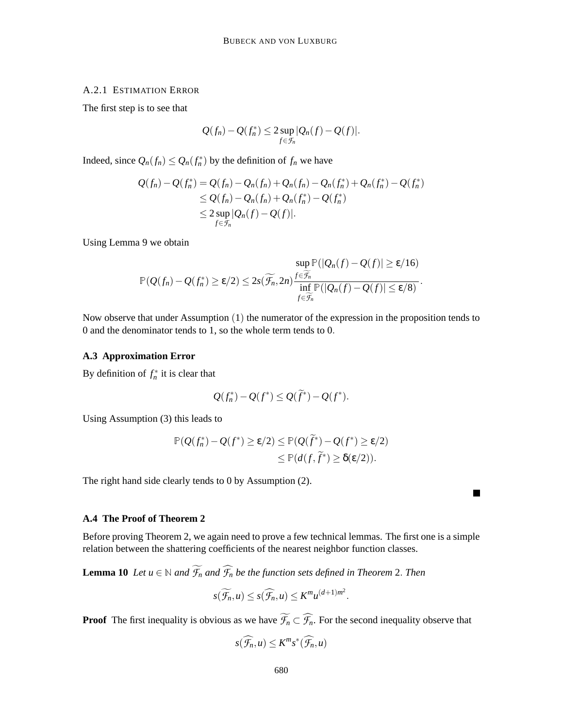# A.2.1 ESTIMATION ERROR

The first step is to see that

$$
Q(f_n)-Q(f_n^*)\leq 2\sup_{f\in\mathcal{F}_n}|Q_n(f)-Q(f)|.
$$

Indeed, since  $Q_n(f_n) \leq Q_n(f_n^*)$  by the definition of  $f_n$  we have

$$
Q(f_n) - Q(f_n^*) = Q(f_n) - Q_n(f_n) + Q_n(f_n) - Q_n(f_n^*) + Q_n(f_n^*) - Q(f_n^*)
$$
  
\n
$$
\leq Q(f_n) - Q_n(f_n) + Q_n(f_n^*) - Q(f_n^*)
$$
  
\n
$$
\leq 2 \sup_{f \in \mathcal{F}_n} |Q_n(f) - Q(f)|.
$$

Using Lemma 9 we obtain

$$
\sup_{f \in \widetilde{\mathcal{F}_n}} \mathbb{P}(|Q(f_n) - Q(f)| \geq \varepsilon/16) \leq 2s(\widetilde{\mathcal{F}_n}, 2n) \frac{\sup_{f \in \widetilde{\mathcal{F}_n}} \mathbb{P}(|Q_n(f) - Q(f)| \geq \varepsilon/16)}{\inf_{f \in \widetilde{\mathcal{F}_n}} \mathbb{P}(|Q_n(f) - Q(f)| \leq \varepsilon/8)}.
$$

Now observe that under Assumption (1) the numerator of the expression in the proposition tends to 0 and the denominator tends to 1, so the whole term tends to 0.

### **A.3 Approximation Error**

By definition of  $f_n^*$  it is clear that

$$
Q(f_n^*) - Q(f^*) \le Q(f^*) - Q(f^*).
$$

Using Assumption (3) this leads to

$$
\mathbb{P}(Q(f_n^*) - Q(f^*) \ge \varepsilon/2) \le \mathbb{P}(Q(\tilde{f}^*) - Q(f^*) \ge \varepsilon/2) \le \mathbb{P}(d(f, \tilde{f}^*) \ge \delta(\varepsilon/2)).
$$

 $\blacksquare$ 

The right hand side clearly tends to 0 by Assumption (2).

# **A.4 The Proof of Theorem 2**

Before proving Theorem 2, we again need to prove a few technical lemmas. The first one is a simple relation between the shattering coefficients of the nearest neighbor function classes.

**Lemma 10** *Let*  $u \in \mathbb{N}$  *and*  $\widetilde{\mathcal{F}}_n$  *and*  $\widehat{\mathcal{F}}_n$  *be the function sets defined in Theorem* 2. *Then* 

$$
s(\widetilde{\mathcal{F}_n},u)\leq s(\widehat{\mathcal{F}_n},u)\leq K^m u^{(d+1)m^2}.
$$

**Proof** The first inequality is obvious as we have  $\widetilde{\mathcal{F}}_n \subset \widehat{\mathcal{F}}_n$ . For the second inequality observe that

$$
s(\widehat{\mathcal{F}_n},u)\leq K^m s^*(\widehat{\mathcal{F}_n},u)
$$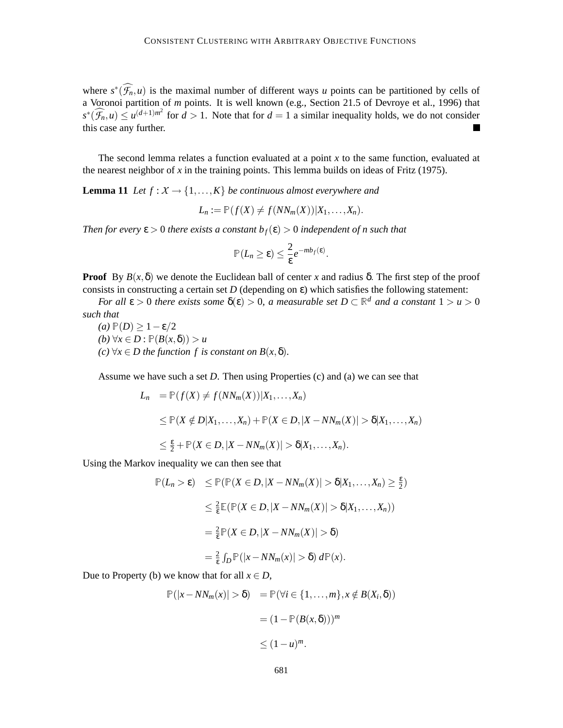where  $s^*(\mathcal{F}_n, u)$  is the maximal number of different ways *u* points can be partitioned by cells of a Voronoi partition of *m* points. It is well known (e.g., Section 21.5 of Devroye et al., 1996) that  $s^*(\widehat{\mathcal{F}_n}, u) \le u^{(d+1)m^2}$  for  $d > 1$ . Note that for  $d = 1$  a similar inequality holds, we do not consider this case any further.

The second lemma relates a function evaluated at a point *x* to the same function, evaluated at the nearest neighbor of  $x$  in the training points. This lemma builds on ideas of Fritz (1975).

**Lemma 11** *Let*  $f: X \to \{1, ..., K\}$  *be continuous almost everywhere and* 

$$
L_n := \mathbb{P}(f(X) \neq f(NN_m(X))|X_1,\ldots,X_n).
$$

*Then for every*  $\epsilon > 0$  *there exists a constant*  $b_f(\epsilon) > 0$  *independent of n such that* 

$$
\mathbb{P}(L_n \geq \varepsilon) \leq \frac{2}{\varepsilon} e^{-mb_f(\varepsilon)}
$$

.

**Proof** By  $B(x, \delta)$  we denote the Euclidean ball of center x and radius  $\delta$ . The first step of the proof consists in constructing a certain set  $D$  (depending on  $\varepsilon$ ) which satisfies the following statement:

*For all*  $\varepsilon > 0$  *there exists some*  $\delta(\varepsilon) > 0$ *, a measurable set*  $D \subset \mathbb{R}^d$  *and a constant*  $1 > u > 0$ *such that*

*(a)*  $P(D)$  ≥ 1 − ε/2  $(b)$  ∀*x* ∈ *D* :  $\mathbb{P}(B(x, \delta)) > u$  $(c)$  ∀*x* ∈ *D* the function f is constant on B(*x*,  $\delta$ ).

Assume we have such a set *D*. Then using Properties (c) and (a) we can see that

$$
L_n = \mathbb{P}(f(X) \neq f(NN_m(X))|X_1, \dots, X_n)
$$
  
\n
$$
\leq \mathbb{P}(X \notin D|X_1, \dots, X_n) + \mathbb{P}(X \in D, |X - NN_m(X)| > \delta |X_1, \dots, X_n)
$$
  
\n
$$
\leq \frac{\varepsilon}{2} + \mathbb{P}(X \in D, |X - NN_m(X)| > \delta |X_1, \dots, X_n).
$$

Using the Markov inequality we can then see that

$$
\mathbb{P}(L_n > \varepsilon) \leq \mathbb{P}(\mathbb{P}(X \in D, |X - NN_m(X)| > \delta | X_1, ..., X_n) \geq \frac{\varepsilon}{2})
$$
  

$$
\leq \frac{2}{\varepsilon} \mathbb{E}(\mathbb{P}(X \in D, |X - NN_m(X)| > \delta | X_1, ..., X_n))
$$
  

$$
= \frac{2}{\varepsilon} \mathbb{P}(X \in D, |X - NN_m(X)| > \delta)
$$
  

$$
= \frac{2}{\varepsilon} \int_D \mathbb{P}(|x - NN_m(x)| > \delta) d\mathbb{P}(x).
$$

Due to Property (b) we know that for all  $x \in D$ ,

$$
\mathbb{P}(|x - NN_m(x)| > \delta) = \mathbb{P}(\forall i \in \{1, ..., m\}, x \notin B(X_i, \delta))
$$

$$
= (1 - \mathbb{P}(B(x, \delta)))^m
$$

$$
\leq (1 - u)^m.
$$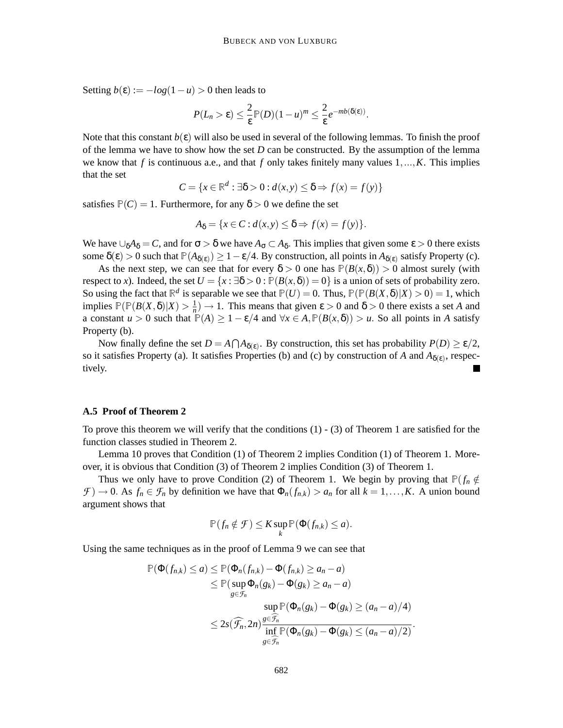Setting  $b(\varepsilon) := -log(1 - u) > 0$  then leads to

$$
P(L_n > \varepsilon) \leq \frac{2}{\varepsilon} \mathbb{P}(D)(1-u)^m \leq \frac{2}{\varepsilon} e^{-mb(\delta(\varepsilon))}.
$$

Note that this constant  $b(\varepsilon)$  will also be used in several of the following lemmas. To finish the proof of the lemma we have to show how the set *D* can be constructed. By the assumption of the lemma we know that  $f$  is continuous a.e., and that  $f$  only takes finitely many values  $1, \ldots, K$ . This implies that the set

$$
C = \{x \in \mathbb{R}^d : \exists \delta > 0 : d(x, y) \le \delta \Rightarrow f(x) = f(y)\}
$$

satisfies  $P(C) = 1$ . Furthermore, for any  $\delta > 0$  we define the set

$$
A_{\delta} = \{x \in C : d(x, y) \leq \delta \Rightarrow f(x) = f(y)\}.
$$

We have  $\cup_{\delta} A_{\delta} = C$ , and for  $\sigma > \delta$  we have  $A_{\sigma} \subset A_{\delta}$ . This implies that given some  $\varepsilon > 0$  there exists some  $\delta(\epsilon) > 0$  such that  $\mathbb{P}(A_{\delta(\epsilon)}) \geq 1 - \epsilon/4$ . By construction, all points in  $A_{\delta(\epsilon)}$  satisfy Property (c).

As the next step, we can see that for every  $\delta > 0$  one has  $\mathbb{P}(B(x,\delta)) > 0$  almost surely (with respect to *x*). Indeed, the set  $U = \{x : \exists \delta > 0 : \mathbb{P}(B(x, \delta)) = 0\}$  is a union of sets of probability zero. So using the fact that  $\mathbb{R}^d$  is separable we see that  $\mathbb{P}(U) = 0$ . Thus,  $\mathbb{P}(\mathbb{P}(B(X,\delta)|X) > 0) = 1$ , which implies  $\mathbb{P}(\mathbb{P}(B(X,\delta)|X) > \frac{1}{n})$  $\frac{1}{n}$   $\rightarrow$  1. This means that given  $\varepsilon > 0$  and  $\delta > 0$  there exists a set *A* and a constant  $u > 0$  such that  $\mathbb{P}(A) \ge 1 - \varepsilon/4$  and  $\forall x \in A$ ,  $\mathbb{P}(B(x, \delta)) > u$ . So all points in *A* satisfy Property (b).

Now finally define the set  $D = A \cap A_{\delta(\varepsilon)}$ . By construction, this set has probability  $P(D) \ge \varepsilon/2$ , so it satisfies Property (a). It satisfies Properties (b) and (c) by construction of *A* and  $A_{\delta(\varepsilon)}$ , respectively.

#### **A.5 Proof of Theorem 2**

To prove this theorem we will verify that the conditions (1) - (3) of Theorem 1 are satisfied for the function classes studied in Theorem 2.

Lemma 10 proves that Condition (1) of Theorem 2 implies Condition (1) of Theorem 1. Moreover, it is obvious that Condition (3) of Theorem 2 implies Condition (3) of Theorem 1.

Thus we only have to prove Condition (2) of Theorem 1. We begin by proving that  $P(f_n \notin \mathcal{F})$  $\mathcal{F}$  )  $\rightarrow$  0. As  $f_n \in \mathcal{F}_n$  by definition we have that  $\Phi_n(f_{n,k}) > a_n$  for all  $k = 1, \ldots, K$ . A union bound argument shows that

$$
\mathbb{P}(f_n \notin \mathcal{F}) \leq K \sup_k \mathbb{P}(\Phi(f_{n,k}) \leq a).
$$

Using the same techniques as in the proof of Lemma 9 we can see that

$$
\mathbb{P}(\Phi(f_{n,k}) \le a) \le \mathbb{P}(\Phi_n(f_{n,k}) - \Phi(f_{n,k}) \ge a_n - a)
$$
  
\n
$$
\le \mathbb{P}(\sup_{g \in \mathcal{F}_n} \Phi_n(g_k) - \Phi(g_k) \ge a_n - a)
$$
  
\n
$$
\sup_{g \in \widehat{\mathcal{F}_n}} \mathbb{P}(\Phi_n(g_k) - \Phi(g_k) \ge (a_n - a)/4)
$$
  
\n
$$
\le 2s(\widehat{\mathcal{F}_n}, 2n) \frac{\sum_{g \in \widehat{\mathcal{F}_n}}}{\inf_{g \in \widehat{\mathcal{F}_n}} \mathbb{P}(\Phi_n(g_k) - \Phi(g_k) \le (a_n - a)/2)}.
$$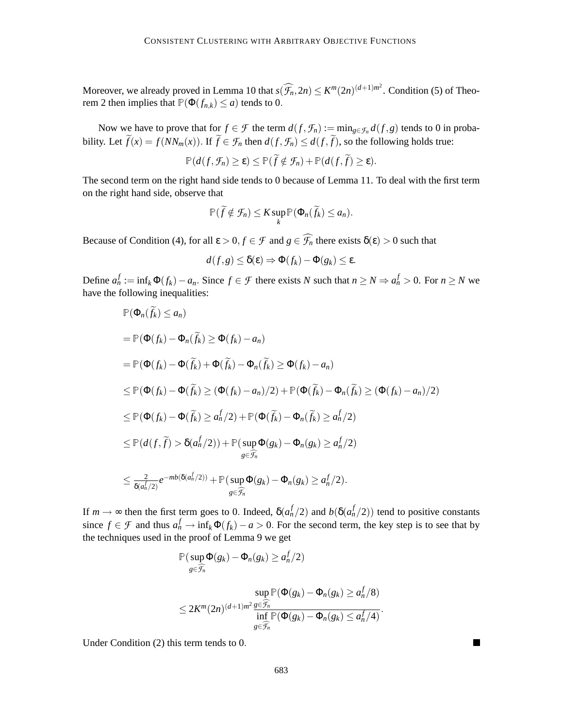Moreover, we already proved in Lemma 10 that  $s(\widehat{f_n}, 2n) \le K^m(2n)^{(d+1)m^2}$ . Condition (5) of Theorem 2 then implies that  $\mathbb{P}(\Phi(f_{n,k}) \leq a)$  tends to 0.

Now we have to prove that for  $f \in \mathcal{F}$  the term  $d(f, \mathcal{F}_n) := \min_{g \in \mathcal{F}_n} d(f, g)$  tends to 0 in probability. Let  $\widetilde{f}(x) = f(NN_m(x))$ . If  $\widetilde{f} \in \mathcal{F}_n$  then  $d(f, \mathcal{F}_n) \leq d(f, \widetilde{f})$ , so the following holds true:

$$
\mathbb{P}(d(f,\mathcal{F}_n)\geq \varepsilon)\leq \mathbb{P}(\tilde{f}\notin \mathcal{F}_n)+\mathbb{P}(d(f,\tilde{f})\geq \varepsilon).
$$

The second term on the right hand side tends to 0 because of Lemma 11. To deal with the first term on the right hand side, observe that

$$
\mathbb{P}(\widetilde{f} \notin \mathcal{F}_n) \leq K \sup_k \mathbb{P}(\Phi_n(\widetilde{f}_k) \leq a_n).
$$

Because of Condition (4), for all  $\varepsilon > 0, f \in \mathcal{F}$  and  $g \in \widehat{\mathcal{F}_n}$  there exists  $\delta(\varepsilon) > 0$  such that

$$
d(f,g) \leq \delta(\varepsilon) \Rightarrow \Phi(f_k) - \Phi(g_k) \leq \varepsilon.
$$

Define  $a_n^f := \inf_k \Phi(f_k) - a_n$ . Since  $f \in \mathcal{F}$  there exists N such that  $n \ge N \Rightarrow a_n^f > 0$ . For  $n \ge N$  we have the following inequalities:

$$
\mathbb{P}(\Phi_n(f_k) \le a_n)
$$
  
\n
$$
= \mathbb{P}(\Phi(f_k) - \Phi_n(\tilde{f}_k) \ge \Phi(f_k) - a_n)
$$
  
\n
$$
= \mathbb{P}(\Phi(f_k) - \Phi(\tilde{f}_k) + \Phi(\tilde{f}_k) - \Phi_n(\tilde{f}_k) \ge \Phi(f_k) - a_n)
$$
  
\n
$$
\le \mathbb{P}(\Phi(f_k) - \Phi(\tilde{f}_k) \ge (\Phi(f_k) - a_n)/2) + \mathbb{P}(\Phi(\tilde{f}_k) - \Phi_n(\tilde{f}_k) \ge (\Phi(f_k) - a_n)/2)
$$
  
\n
$$
\le \mathbb{P}(\Phi(f_k) - \Phi(\tilde{f}_k) \ge a_n^f/2) + \mathbb{P}(\Phi(\tilde{f}_k) - \Phi_n(\tilde{f}_k) \ge a_n^f/2)
$$
  
\n
$$
\le \mathbb{P}(d(f, \tilde{f}) > \delta(a_n^f/2)) + \mathbb{P}(\sup_{g \in \tilde{\mathcal{F}}_n} \Phi(g_k) - \Phi_n(g_k) \ge a_n^f/2)
$$
  
\n
$$
\le \frac{2}{\delta(a_n^f/2)} e^{-mb(\delta(a_n^f/2))} + \mathbb{P}(\sup_{g \in \tilde{\mathcal{F}}_n} \Phi(g_k) - \Phi_n(g_k) \ge a_n^f/2).
$$

If  $m \to \infty$  then the first term goes to 0. Indeed,  $\delta(a_n^f/2)$  and  $b(\delta(a_n^f/2))$  tend to positive constants since  $f \in \mathcal{F}$  and thus  $a_n^f \to \inf_k \Phi(f_k) - a > 0$ . For the second term, the key step is to see that by the techniques used in the proof of Lemma 9 we get

$$
\mathbb{P}(\sup_{g\in\widehat{\mathcal{F}_n}}\Phi(g_k)-\Phi_n(g_k)\geq a_n^f/2)
$$

$$
\sup_{g \in \widehat{\mathcal{F}_n}} \mathbb{P}(\Phi(g_k) - \Phi_n(g_k) \ge a_n^f/8)
$$
  
\$\le 2K^m(2n)^{(d+1)m^2} \frac{\sum\_{g \in \widehat{\mathcal{F}\_n}}}{\inf\_{g \in \widehat{\mathcal{F}\_n}} \mathbb{P}(\Phi(g\_k) - \Phi\_n(g\_k) \le a\_n^f/4)\$.

Under Condition (2) this term tends to 0.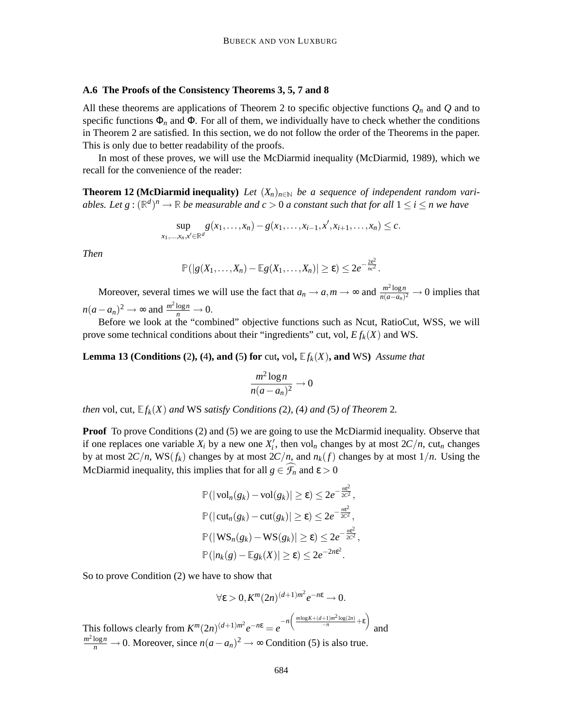### **A.6 The Proofs of the Consistency Theorems 3, 5, 7 and 8**

All these theorems are applications of Theorem 2 to specific objective functions *Q<sup>n</sup>* and *Q* and to specific functions  $\Phi_n$  and  $\Phi$ . For all of them, we individually have to check whether the conditions in Theorem 2 are satisfied. In this section, we do not follow the order of the Theorems in the paper. This is only due to better readability of the proofs.

In most of these proves, we will use the McDiarmid inequality (McDiarmid, 1989), which we recall for the convenience of the reader:

**Theorem 12 (McDiarmid inequality)** *Let*  $(X_n)_{n\in\mathbb{N}}$  *be a sequence of independent random vari*ables. Let  $g: (\mathbb{R}^d)^n \to \mathbb{R}$  be measurable and  $c > 0$  a constant such that for all  $1 \leq i \leq n$  we have

$$
\sup_{x_1,...,x_n,x'\in\mathbb{R}^d} g(x_1,...,x_n)-g(x_1,...,x_{i-1},x',x_{i+1},...,x_n)\leq c.
$$

*Then*

$$
\mathbb{P}(|g(X_1,\ldots,X_n)-\mathbb{E}g(X_1,\ldots,X_n)|\geq \varepsilon)\leq 2e^{-\frac{2\varepsilon^2}{nc^2}}.
$$

Moreover, several times we will use the fact that  $a_n \to a, m \to \infty$  and  $\frac{m^2 \log n}{n(a-a_n)}$  $\frac{m \cdot \log n}{n(a-a_n)^2} \to 0$  implies that  $n(a - a_n)^2 \to \infty$  and  $\frac{m^2 \log n}{n} \to 0$ .

Before we look at the "combined" objective functions such as Ncut, RatioCut, WSS, we will prove some technical conditions about their "ingredients" cut, vol, *E fk*(*X*) and WS.

**Lemma 13 (Conditions (2), (4), and (5) for** cut, vol,  $E f_k(X)$ , and WS) *Assume that* 

$$
\frac{m^2\log n}{n(a-a_n)^2}\to 0
$$

*then* vol, cut,  $E f_k(X)$  *and* WS *satisfy Conditions* (2), (4) *and* (5) *of Theorem* 2*.* 

**Proof** To prove Conditions (2) and (5) we are going to use the McDiarmid inequality. Observe that if one replaces one variable  $X_i$  by a new one  $X'_i$ , then vol<sub>n</sub> changes by at most  $2C/n$ , cut<sub>n</sub> changes by at most  $2C/n$ ,  $WS(f_k)$  changes by at most  $2C/n$ , and  $n_k(f)$  changes by at most  $1/n$ . Using the McDiarmid inequality, this implies that for all  $g \in \mathcal{F}_n$  and  $\varepsilon > 0$ 

$$
\mathbb{P}(|\text{vol}_n(g_k) - \text{vol}(g_k)| \geq \varepsilon) \leq 2e^{-\frac{n\varepsilon^2}{2C^2}},
$$
  

$$
\mathbb{P}(|\text{cut}_n(g_k) - \text{cut}(g_k)| \geq \varepsilon) \leq 2e^{-\frac{n\varepsilon^2}{2C^2}},
$$
  

$$
\mathbb{P}(|\text{WS}_n(g_k) - \text{WS}(g_k)| \geq \varepsilon) \leq 2e^{-\frac{n\varepsilon^2}{2C^2}},
$$
  

$$
\mathbb{P}(|n_k(g) - \mathbb{E}g_k(X)| \geq \varepsilon) \leq 2e^{-2n\varepsilon^2}.
$$

So to prove Condition (2) we have to show that

 $\forall \varepsilon > 0, K^m(2n)^{(d+1)m^2}e^{-n\varepsilon} \to 0.$ 

This follows clearly from  $K^m(2n)^{(d+1)m^2}e^{-n\varepsilon} = e^{-n\left(\frac{m\log K + (d+1)m^2\log(2n)}{-n} + \varepsilon\right)}$ and  $\frac{m^2 \log n}{n} \to 0$ . Moreover, since  $n(a - a_n)^2 \to \infty$  Condition (5) is also true.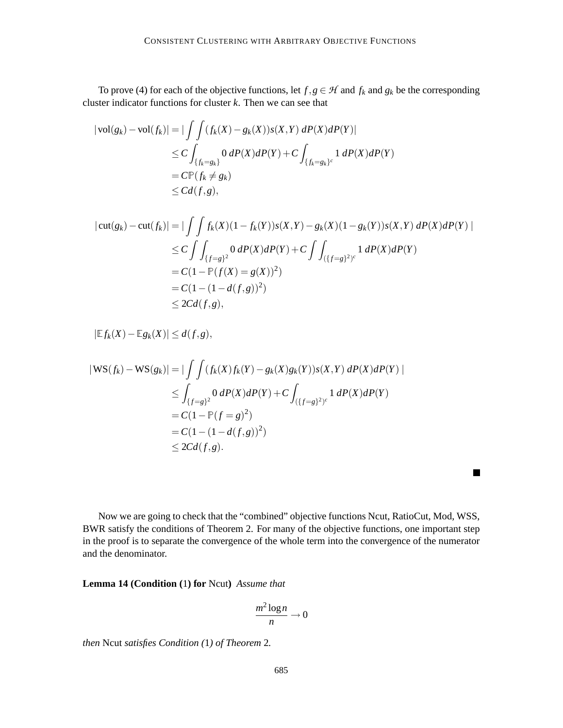To prove (4) for each of the objective functions, let  $f, g \in H$  and  $f_k$  and  $g_k$  be the corresponding cluster indicator functions for cluster *k*. Then we can see that

$$
|\operatorname{vol}(g_k) - \operatorname{vol}(f_k)| = |\int \int (f_k(X) - g_k(X))s(X,Y) \, dP(X)dP(Y)|
$$
  
\n
$$
\leq C \int_{\{f_k = g_k\}} 0 \, dP(X)dP(Y) + C \int_{\{f_k = g_k\}^c} 1 \, dP(X)dP(Y)
$$
  
\n
$$
= C \mathbb{P}(f_k \neq g_k)
$$
  
\n
$$
\leq C d(f,g),
$$

$$
|\text{cut}(g_k) - \text{cut}(f_k)| = |\int \int f_k(X)(1 - f_k(Y))s(X, Y) - g_k(X)(1 - g_k(Y))s(X, Y) \, dP(X) \, dP(Y)|
$$
\n
$$
\leq C \int \int_{\{f=g\}^2} 0 \, dP(X) \, dP(Y) + C \int \int_{(\{f=g\}^2)^c} 1 \, dP(X) \, dP(Y)
$$
\n
$$
= C(1 - \mathbb{P}(f(X) = g(X))^2)
$$
\n
$$
= C(1 - (1 - d(f, g))^2)
$$
\n
$$
\leq 2Cd(f, g),
$$

 $|\mathbb{E} f_k(X) - \mathbb{E} g_k(X)| \leq d(f,g),$ 

$$
|\mathbf{WS}(f_k) - \mathbf{WS}(g_k)| = |\int \int (f_k(X)f_k(Y) - g_k(X)g_k(Y))s(X,Y) \, dP(X) \, dP(Y)|
$$
  
\n
$$
\leq \int_{\{f=g\}^2} 0 \, dP(X) \, dP(Y) + C \int_{(\{f=g\}^2)^2} 1 \, dP(X) \, dP(Y)
$$
  
\n
$$
= C(1 - \mathbb{P}(f=g)^2)
$$
  
\n
$$
= C(1 - (1 - d(f,g))^2)
$$
  
\n
$$
\leq 2Cd(f,g).
$$

Now we are going to check that the "combined" objective functions Ncut, RatioCut, Mod, WSS, BWR satisfy the conditions of Theorem 2. For many of the objective functions, one important step in the proof is to separate the convergence of the whole term into the convergence of the numerator and the denominator.

 $\blacksquare$ 

**Lemma 14 (Condition (**1**) for** Ncut**)** *Assume that*

$$
\frac{m^2\log n}{n}\to 0
$$

*then* Ncut *satisfies Condition (*1*) of Theorem* 2*.*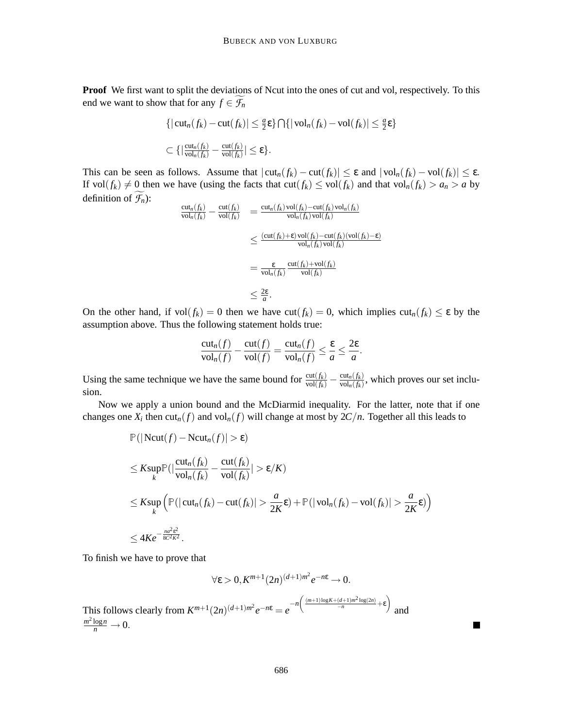**Proof** We first want to split the deviations of Ncut into the ones of cut and vol, respectively. To this end we want to show that for any  $f \in \mathcal{F}_n$ 

$$
\{|\operatorname{cut}_n(f_k) - \operatorname{cut}(f_k)| \le \frac{a}{2}\varepsilon\} \bigcap \{|\operatorname{vol}_n(f_k) - \operatorname{vol}(f_k)| \le \frac{a}{2}\varepsilon\}
$$
  

$$
\subset \{|\frac{\operatorname{cut}_n(f_k)}{\operatorname{vol}_n(f_k)} - \frac{\operatorname{cut}(f_k)}{\operatorname{vol}(f_k)}| \le \varepsilon\}.
$$

This can be seen as follows. Assume that  $|\text{cut}_n(f_k) - \text{cut}(f_k)| \leq \varepsilon$  and  $|\text{vol}_n(f_k) - \text{vol}(f_k)| \leq \varepsilon$ . If  $vol(f_k) \neq 0$  then we have (using the facts that  $cut(f_k) \leq vol(f_k)$  and that  $vol_n(f_k) > a_n > a$  by definition of  $\widetilde{\mathcal{F}_n}$ ):

$$
\frac{\mathrm{cut}_{n}(f_{k})}{\mathrm{vol}_{n}(f_{k})} - \frac{\mathrm{cut}(f_{k})}{\mathrm{vol}(f_{k})} = \frac{\mathrm{cut}_{n}(f_{k})\,\mathrm{vol}(f_{k}) - \mathrm{cut}(f_{k})\,\mathrm{vol}_{n}(f_{k})}{\mathrm{vol}_{n}(f_{k})\,\mathrm{vol}(f_{k})}
$$
\n
$$
\leq \frac{(\mathrm{cut}(f_{k}) + \varepsilon)\,\mathrm{vol}(f_{k}) - \mathrm{cut}(f_{k})(\mathrm{vol}(f_{k}) - \varepsilon)}{\mathrm{vol}_{n}(f_{k})\,\mathrm{vol}(f_{k})}
$$
\n
$$
= \frac{\varepsilon}{\mathrm{vol}_{n}(f_{k})} \frac{\mathrm{cut}(f_{k}) + \mathrm{vol}(f_{k})}{\mathrm{vol}(f_{k})}
$$
\n
$$
\leq \frac{2\varepsilon}{a}.
$$

On the other hand, if  $vol(f_k) = 0$  then we have  $cut(f_k) = 0$ , which implies  $cut_n(f_k) \leq \varepsilon$  by the assumption above. Thus the following statement holds true:

$$
\frac{\mathrm{cut}_n(f)}{\mathrm{vol}_n(f)} - \frac{\mathrm{cut}(f)}{\mathrm{vol}(f)} = \frac{\mathrm{cut}_n(f)}{\mathrm{vol}_n(f)} \leq \frac{\varepsilon}{a} \leq \frac{2\varepsilon}{a}.
$$

Using the same technique we have the same bound for  $\frac{\text{cut}(f_k)}{\text{vol}(f_k)} - \frac{\text{cut}_n(f_k)}{\text{vol}_n(f_k)}$  $\frac{\text{cut}_n(f_k)}{\text{vol}_n(f_k)}$ , which proves our set inclusion.

Now we apply a union bound and the McDiarmid inequality. For the latter, note that if one changes one  $X_i$  then  $\text{cut}_n(f)$  and  $\text{vol}_n(f)$  will change at most by  $2C/n$ . Together all this leads to

$$
\mathbb{P}(|\text{Ncut}(f) - \text{Ncut}_n(f)| > \varepsilon)
$$
\n
$$
\leq K \sup_k \mathbb{P}(|\frac{\text{cut}_n(f_k)}{\text{vol}_n(f_k)} - \frac{\text{cut}(f_k)}{\text{vol}(f_k)}| > \varepsilon/K)
$$
\n
$$
\leq K \sup_k \left(\mathbb{P}(|\text{cut}_n(f_k) - \text{cut}(f_k)| > \frac{a}{2K}\varepsilon) + \mathbb{P}(|\text{vol}_n(f_k) - \text{vol}(f_k)| > \frac{a}{2K}\varepsilon)\right)
$$
\n
$$
\leq 4Ke^{-\frac{na^2\varepsilon^2}{8C^2K^2}}.
$$

To finish we have to prove that

$$
\forall \varepsilon > 0, K^{m+1}(2n)^{(d+1)m^2} e^{-n\varepsilon} \to 0.
$$
  
This follows clearly from  $K^{m+1}(2n)^{(d+1)m^2} e^{-n\varepsilon} = e^{-n\left(\frac{(m+1)\log K + (d+1)m^2 \log(2n)}{n} + \varepsilon\right)}$  and  $\frac{m^2 \log n}{n} \to 0.$ 

۰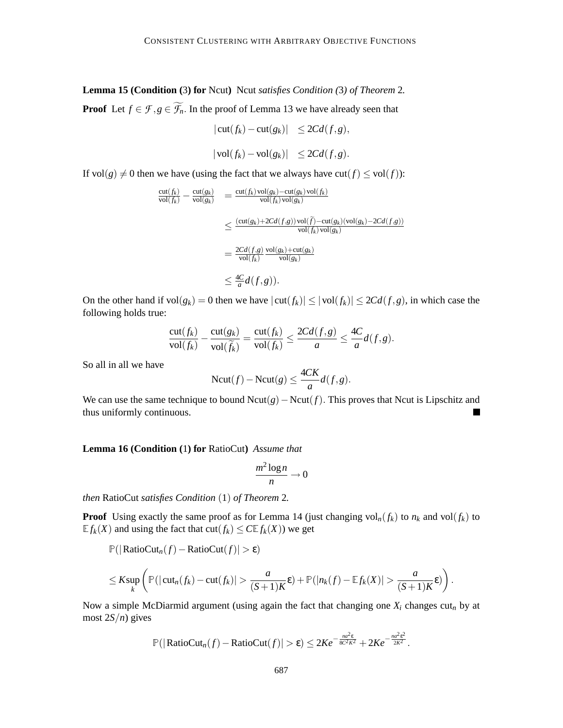**Lemma 15 (Condition (**3**) for** Ncut**)** Ncut *satisfies Condition (*3*) of Theorem* 2*.* **Proof** Let  $f \in \mathcal{F}, g \in \widetilde{\mathcal{F}_n}$ . In the proof of Lemma 13 we have already seen that

$$
|\operatorname{cut}(f_k) - \operatorname{cut}(g_k)| \le 2Cd(f,g),
$$

$$
|\operatorname{vol}(f_k) - \operatorname{vol}(g_k)| \leq 2Cd(f, g).
$$

If  $vol(g) \neq 0$  then we have (using the fact that we always have  $cut(f) \leq vol(f)$ ):

$$
\frac{\mathrm{cut}(f_k)}{\mathrm{vol}(f_k)} - \frac{\mathrm{cut}(g_k)}{\mathrm{vol}(g_k)} = \frac{\mathrm{cut}(f_k)\mathrm{vol}(g_k) - \mathrm{cut}(g_k)\mathrm{vol}(f_k)}{\mathrm{vol}(f_k)\mathrm{vol}(g_k)}
$$
\n
$$
\leq \frac{(\mathrm{cut}(g_k) + 2Cd(f,g))\mathrm{vol}(\tilde{f}) - \mathrm{cut}(g_k)(\mathrm{vol}(g_k) - 2Cd(f,g))}{\mathrm{vol}(f_k)\mathrm{vol}(g_k)}
$$
\n
$$
= \frac{2Cd(f,g)}{\mathrm{vol}(f_k)} \frac{\mathrm{vol}(g_k) + \mathrm{cut}(g_k)}{\mathrm{vol}(g_k)}
$$
\n
$$
\leq \frac{4C}{a}d(f,g)).
$$

On the other hand if  $vol(g_k) = 0$  then we have  $|cut(f_k)| \le |vol(f_k)| \le 2Cd(f,g)$ , in which case the following holds true:

$$
\frac{\mathrm{cut}(f_k)}{\mathrm{vol}(f_k)} - \frac{\mathrm{cut}(g_k)}{\mathrm{vol}(\widetilde{f_k})} = \frac{\mathrm{cut}(f_k)}{\mathrm{vol}(f_k)} \le \frac{2Cd(f,g)}{a} \le \frac{4C}{a}d(f,g).
$$

So all in all we have

$$
Ncut(f) - Ncut(g) \le \frac{4CK}{a}d(f,g).
$$

We can use the same technique to bound Ncut(*g*)−Ncut(*f*). This proves that Ncut is Lipschitz and thus uniformly continuous.

**Lemma 16 (Condition (**1**) for** RatioCut**)** *Assume that*

$$
\frac{m^2\log n}{n}\to 0
$$

*then* RatioCut *satisfies Condition* (1) *of Theorem* 2*.*

**Proof** Using exactly the same proof as for Lemma 14 (just changing vol<sub>n</sub>( $f_k$ ) to  $n_k$  and vol( $f_k$ ) to  $E f_k(X)$  and using the fact that  $cut(f_k) \leq C E f_k(X)$ ) we get

<sup>P</sup>(|RatioCut*n*(*f*)−RatioCut(*f*)| > ε)

$$
\leq K \sup_{k} \left( \mathbb{P}(|\mathrm{cut}_{n}(f_{k}) - \mathrm{cut}(f_{k})| > \frac{a}{(S+1)K} \varepsilon) + \mathbb{P}(|n_{k}(f) - \mathbb{E} f_{k}(X)| > \frac{a}{(S+1)K} \varepsilon) \right).
$$

Now a simple McDiarmid argument (using again the fact that changing one *X<sup>i</sup>* changes cut*<sup>n</sup>* by at most 2*S*/*n*) gives

$$
\mathbb{P}(|\mathrm{RatioCut}_n(f) - \mathrm{RatioCut}(f)| > \varepsilon) \leq 2Ke^{-\frac{na^2\varepsilon}{8C^2K^2}} + 2Ke^{-\frac{na^2\varepsilon^2}{2K^2}}.
$$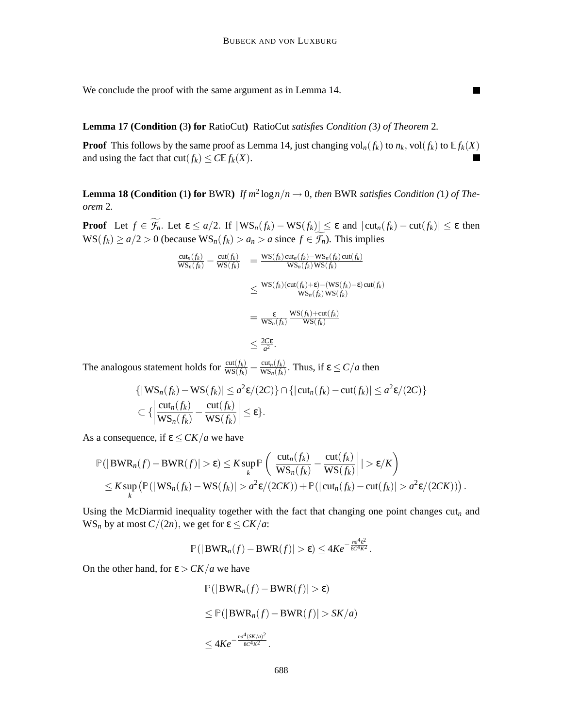$\blacksquare$ 

We conclude the proof with the same argument as in Lemma 14.

# **Lemma 17 (Condition (**3**) for** RatioCut**)** RatioCut *satisfies Condition (*3*) of Theorem* 2*.*

**Proof** This follows by the same proof as Lemma 14, just changing  $vol_n(f_k)$  to  $n_k$ ,  $vol(f_k)$  to  $Ef_k(X)$ and using the fact that  $\text{cut}(f_k) \leq C \mathbb{E} f_k(X)$ .

**Lemma 18 (Condition** (1) for BWR) *If*  $m^2 \log n/n \to 0$ , then BWR satisfies Condition (1) of The*orem* 2*.*

**Proof** Let  $f \in \widetilde{\mathcal{F}_n}$ . Let  $\epsilon \leq a/2$ . If  $|\text{WS}_n(f_k) - \text{WS}(f_k)| \leq \epsilon$  and  $|\text{cut}_n(f_k) - \text{cut}(f_k)| \leq \epsilon$  then  $WS(f_k) \ge a/2 > 0$  (because  $WS_n(f_k) > a_n > a$  since  $f \in \widetilde{\mathcal{F}_n}$ ). This implies

$$
\frac{\mathrm{cut}_{n}(f_{k})}{\mathrm{WS}_{n}(f_{k})} - \frac{\mathrm{cut}(f_{k})}{\mathrm{WS}(f_{k})} = \frac{\mathrm{WS}(f_{k})\mathrm{cut}_{n}(f_{k}) - \mathrm{WS}_{n}(f_{k})\mathrm{cut}(f_{k})}{\mathrm{WS}_{n}(f_{k})\mathrm{WS}(f_{k})}
$$
\n
$$
\leq \frac{\mathrm{WS}(f_{k})(\mathrm{cut}(f_{k}) + \varepsilon) - (\mathrm{WS}(f_{k}) - \varepsilon)\mathrm{cut}(f_{k})}{\mathrm{WS}_{n}(f_{k})\mathrm{WS}(f_{k})}
$$
\n
$$
= \frac{\varepsilon}{\mathrm{WS}_{n}(f_{k})} \frac{\mathrm{WS}(f_{k}) + \mathrm{cut}(f_{k})}{\mathrm{WS}(f_{k})}
$$
\n
$$
\leq \frac{2C\varepsilon}{a^{2}}.
$$

The analogous statement holds for  $\frac{\text{cut}(f_k)}{\text{WS}(f_k)} - \frac{\text{cut}_n(f_k)}{\text{WS}_n(f_k)}$  $\frac{\text{cut}_n(f_k)}{\text{WS}_n(f_k)}$ . Thus, if  $\epsilon \le C/a$  then

$$
\{|\mathbf{WS}_n(f_k) - \mathbf{WS}(f_k)| \le a^2 \varepsilon/(2C)\} \cap \{|\text{cut}_n(f_k) - \text{cut}(f_k)| \le a^2 \varepsilon/(2C)\}\
$$
  

$$
\subset \{ \left|\frac{\text{cut}_n(f_k)}{\mathbf{WS}_n(f_k)} - \frac{\text{cut}(f_k)}{\mathbf{WS}(f_k)}\right| \le \varepsilon \}.
$$

As a consequence, if  $\varepsilon \leq CK/a$  we have

$$
\mathbb{P}(|BWR_n(f) - BWR(f)| > \varepsilon) \leq K \sup_k \mathbb{P}\left(\left|\frac{\mathrm{cut}_n(f_k)}{WS_n(f_k)} - \frac{\mathrm{cut}(f_k)}{WS(f_k)}\right|| > \varepsilon/K\right)
$$
  

$$
\leq K \sup_k \left(\mathbb{P}(|WS_n(f_k) - WS(f_k)| > a^2 \varepsilon/(2CK)) + \mathbb{P}(|\mathrm{cut}_n(f_k) - \mathrm{cut}(f_k)| > a^2 \varepsilon/(2CK))\right).
$$

Using the McDiarmid inequality together with the fact that changing one point changes  $\text{cut}_n$  and  $WS_n$  by at most  $C/(2n)$ , we get for  $\varepsilon \leq CK/a$ :

$$
\mathbb{P}(|BWR_n(f)-BWR(f)|>\varepsilon)\leq 4Ke^{-\frac{na^4\varepsilon^2}{8C^4K^2}}.
$$

On the other hand, for  $\varepsilon > CK/a$  we have

$$
\mathbb{P}(|BWR_n(f) - BWR(f)| > \varepsilon)
$$
  
\n
$$
\leq \mathbb{P}(|BWR_n(f) - BWR(f)| > SK/a)
$$
  
\n
$$
\leq 4Ke^{-\frac{na^4(SK/a)^2}{8C^4K^2}}.
$$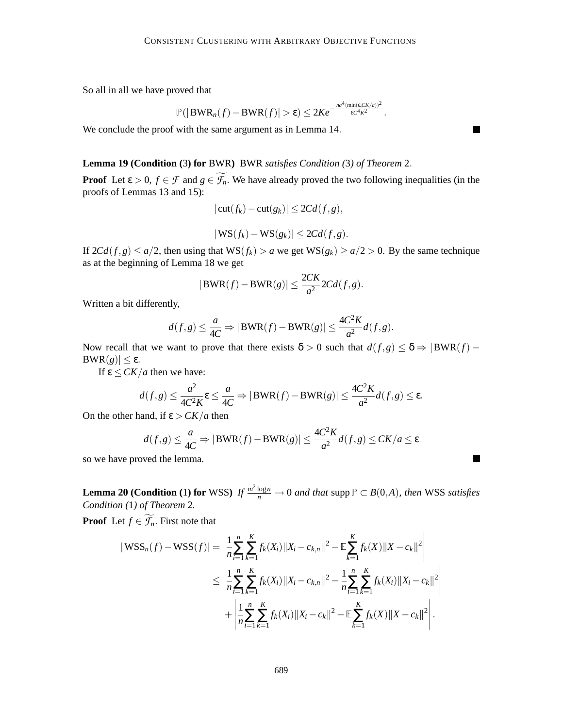So all in all we have proved that

$$
\mathbb{P}(|BWR_n(f)-BWR(f)|>\varepsilon)\leq 2Ke^{-\frac{na^4(\min(\varepsilon,CK/a))^2}{8C^4K^2}}.
$$

П

П

We conclude the proof with the same argument as in Lemma 14.

# **Lemma 19 (Condition (**3**) for** BWR**)** BWR *satisfies Condition (*3*) of Theorem* 2.

**Proof** Let  $\varepsilon > 0$ ,  $f \in \mathcal{F}$  and  $g \in \widetilde{\mathcal{F}}_n$ . We have already proved the two following inequalities (in the proofs of Lemmas 13 and 15):

$$
|\operatorname{cut}(f_k) - \operatorname{cut}(g_k)| \le 2Cd(f,g),
$$

$$
|\mathbf{WS}(f_k) - \mathbf{WS}(g_k)| \leq 2Cd(f,g).
$$

If  $2Cd(f,g) \le a/2$ , then using that  $WS(f_k) > a$  we get  $WS(g_k) \ge a/2 > 0$ . By the same technique as at the beginning of Lemma 18 we get

$$
|\text{BWR}(f) - \text{BWR}(g)| \le \frac{2CK}{a^2} 2Cd(f, g).
$$

Written a bit differently,

$$
d(f,g) \le \frac{a}{4C} \Rightarrow |\text{BWR}(f) - \text{BWR}(g)| \le \frac{4C^2K}{a^2}d(f,g).
$$

Now recall that we want to prove that there exists  $\delta > 0$  such that  $d(f,g) \leq \delta \Rightarrow |BWR(f) -$ BWR(*g*)|  $\leq$  ε.

If  $\varepsilon$   $\leq$  *CK*/*a* then we have:

$$
d(f,g) \leq \frac{a^2}{4C^2K} \varepsilon \leq \frac{a}{4C} \Rightarrow |\text{BWR}(f) - \text{BWR}(g)| \leq \frac{4C^2K}{a^2}d(f,g) \leq \varepsilon.
$$

On the other hand, if  $\varepsilon > CK/a$  then

$$
d(f,g) \le \frac{a}{4C} \Rightarrow |\text{BWR}(f) - \text{BWR}(g)| \le \frac{4C^2K}{a^2}d(f,g) \le CK/a \le \varepsilon
$$

so we have proved the lemma.

**Lemma 20 (Condition** (1) for WSS) *If*  $\frac{m^2 \log n}{n} \to 0$  *and that* supp $P \subset B(0,A)$ *, then* WSS *satisfies Condition (*1*) of Theorem* 2*.*

**Proof** Let  $f \in \widetilde{\mathcal{F}_n}$ . First note that

$$
|\mathbf{WSS}_{n}(f) - \mathbf{WSS}(f)| = \left| \frac{1}{n} \sum_{i=1}^{n} \sum_{k=1}^{K} f_{k}(X_{i}) \| X_{i} - c_{k,n} \|^{2} - \mathbb{E} \sum_{k=1}^{K} f_{k}(X) \| X - c_{k} \|^{2} \right|
$$
  

$$
\leq \left| \frac{1}{n} \sum_{i=1}^{n} \sum_{k=1}^{K} f_{k}(X_{i}) \| X_{i} - c_{k,n} \|^{2} - \frac{1}{n} \sum_{i=1}^{n} \sum_{k=1}^{K} f_{k}(X_{i}) \| X_{i} - c_{k} \|^{2} \right|
$$
  

$$
+ \left| \frac{1}{n} \sum_{i=1}^{n} \sum_{k=1}^{K} f_{k}(X_{i}) \| X_{i} - c_{k} \|^{2} - \mathbb{E} \sum_{k=1}^{K} f_{k}(X) \| X - c_{k} \|^{2} \right|.
$$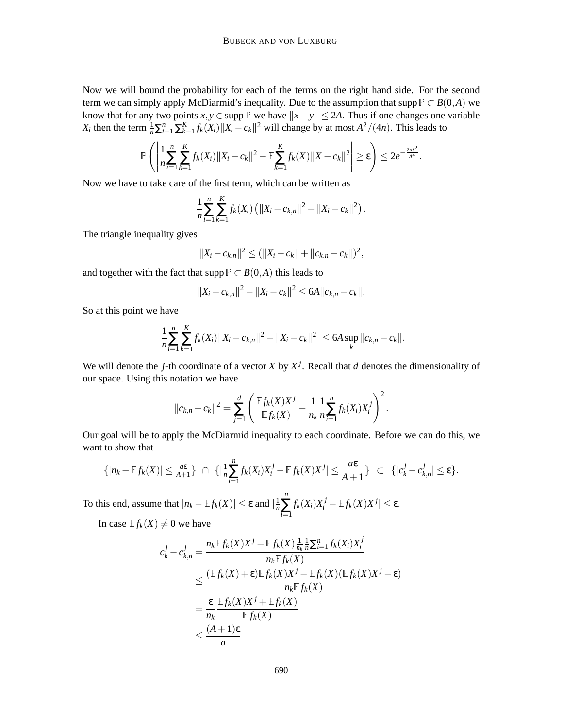Now we will bound the probability for each of the terms on the right hand side. For the second term we can simply apply McDiarmid's inequality. Due to the assumption that supp  $P \subset B(0,A)$  we know that for any two points  $x, y \in \text{supp } \mathbb{P}$  we have  $||x - y|| \le 2A$ . Thus if one changes one variable *X*<sup>*i*</sup> then the term  $\frac{1}{n} \sum_{i=1}^{n} \sum_{k=1}^{K} f_k(X_i) ||X_i - c_k||^2$  will change by at most  $A^2/(4n)$ . This leads to

$$
\mathbb{P}\left(\left|\frac{1}{n}\sum_{i=1}^n\sum_{k=1}^K f_k(X_i)\|X_i-c_k\|^2-\mathbb{E}\sum_{k=1}^K f_k(X)\|X-c_k\|^2\right|\geq \varepsilon\right)\leq 2e^{-\frac{2n\varepsilon^2}{A^4}}.
$$

Now we have to take care of the first term, which can be written as

$$
\frac{1}{n}\sum_{i=1}^n\sum_{k=1}^K f_k(X_i) \left( ||X_i - c_{k,n}||^2 - ||X_i - c_k||^2 \right).
$$

The triangle inequality gives

$$
||X_i - c_{k,n}||^2 \le (||X_i - c_k|| + ||c_{k,n} - c_k||)^2,
$$

and together with the fact that supp  $P \subset B(0,A)$  this leads to

$$
||X_i - c_{k,n}||^2 - ||X_i - c_k||^2 \leq 6A ||c_{k,n} - c_k||.
$$

So at this point we have

$$
\left|\frac{1}{n}\sum_{i=1}^n\sum_{k=1}^K f_k(X_i) \|X_i - c_{k,n}\|^2 - \|X_i - c_k\|^2\right| \leq 6A \sup_k \|c_{k,n} - c_k\|.
$$

We will denote the *j*-th coordinate of a vector *X* by  $X^j$ . Recall that *d* denotes the dimensionality of our space. Using this notation we have

$$
||c_{k,n}-c_k||^2 = \sum_{j=1}^d \left( \frac{\mathbb{E} f_k(X)X^j}{\mathbb{E} f_k(X)} - \frac{1}{n_k} \frac{1}{n} \sum_{i=1}^n f_k(X_i)X_i^j \right)^2.
$$

Our goal will be to apply the McDiarmid inequality to each coordinate. Before we can do this, we want to show that

$$
\{|n_k-\mathbb{E} f_k(X)|\leq \frac{a \varepsilon}{A+1}\}\ \cap\ \{|\frac{1}{n}\sum_{i=1}^n f_k(X_i)X_i^j-\mathbb{E} f_k(X)X^j|\leq \frac{a \varepsilon}{A+1}\}\ \subset\ \{|c_k^j-c_{k,n}^j|\leq \varepsilon\}.
$$

To this end, assume that  $|n_k - \mathbb{E} f_k(X)| \le \varepsilon$  and  $|\frac{1}{n} \sum f_k(X_i) X_i^j - \mathbb{E} f_k(X) X^j| \le \varepsilon$ . *n n* ∑ *i*=1  $f_k(X_i)X_i^j - \mathbb{E} f_k(X)X^j| \leq \varepsilon.$ 

In case  $E f_k(X) \neq 0$  we have

$$
c_k^j - c_{k,n}^j = \frac{n_k \mathbb{E} f_k(X) X^j - \mathbb{E} f_k(X) \frac{1}{n_k} \frac{1}{n} \sum_{i=1}^n f_k(X_i) X_i^j}{n_k \mathbb{E} f_k(X)}
$$
  
\n
$$
\leq \frac{(\mathbb{E} f_k(X) + \varepsilon) \mathbb{E} f_k(X) X^j - \mathbb{E} f_k(X) (\mathbb{E} f_k(X) X^j - \varepsilon)}{n_k \mathbb{E} f_k(X)}
$$
  
\n
$$
= \frac{\varepsilon}{n_k} \frac{\mathbb{E} f_k(X) X^j + \mathbb{E} f_k(X)}{\mathbb{E} f_k(X)}
$$
  
\n
$$
\leq \frac{(A+1)\varepsilon}{a}
$$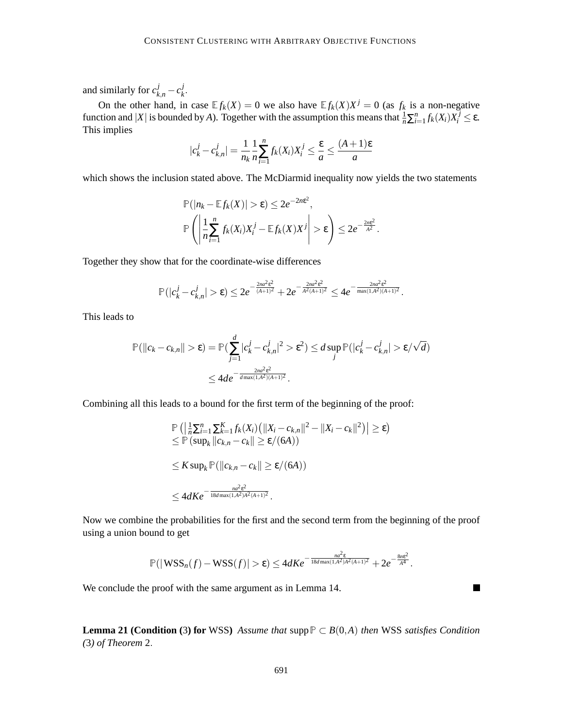and similarly for  $c_{k,n}^j - c_k^j$ *k* .

On the other hand, in case  $E f_k(X) = 0$  we also have  $E f_k(X)X^j = 0$  (as  $f_k$  is a non-negative function and  $|X|$  is bounded by *A*). Together with the assumption this means that  $\frac{1}{n} \sum_{i=1}^{n} f_k(X_i) X_i^j \le \varepsilon$ . This implies

$$
|c_k^j - c_{k,n}^j| = \frac{1}{n_k} \frac{1}{n} \sum_{i=1}^n f_k(X_i) X_i^j \le \frac{\varepsilon}{a} \le \frac{(A+1)\varepsilon}{a}
$$

which shows the inclusion stated above. The McDiarmid inequality now yields the two statements

$$
\mathbb{P}(|n_k - \mathbb{E} f_k(X)| > \varepsilon) \leq 2e^{-2n\varepsilon^2},
$$
  

$$
\mathbb{P}\left(\left|\frac{1}{n}\sum_{i=1}^n f_k(X_i)X_i^j - \mathbb{E} f_k(X)X^j\right| > \varepsilon\right) \leq 2e^{-\frac{2n\varepsilon^2}{A^2}}.
$$

Together they show that for the coordinate-wise differences

$$
\mathbb{P}(|c_k^j - c_{k,n}^j| > \varepsilon) \leq 2e^{-\frac{2na^2\varepsilon^2}{(A+1)^2}} + 2e^{-\frac{2na^2\varepsilon^2}{A^2(A+1)^2}} \leq 4e^{-\frac{2na^2\varepsilon^2}{\max(1,A^2)(A+1)^2}}.
$$

This leads to

$$
\mathbb{P}(\|c_k - c_{k,n}\| > \varepsilon) = \mathbb{P}(\sum_{j=1}^d |c_k^j - c_{k,n}^j|^2 > \varepsilon^2) \le d \sup_j \mathbb{P}(|c_k^j - c_{k,n}^j| > \varepsilon/\sqrt{d})
$$
  

$$
\le 4de^{-\frac{2na^2\varepsilon^2}{d \max(1, A^2)(A+1)^2}}.
$$

Combining all this leads to a bound for the first term of the beginning of the proof:

$$
\mathbb{P}\left(\left|\frac{1}{n}\sum_{i=1}^{n}\sum_{k=1}^{K}f_{k}(X_{i})\left(\|X_{i}-c_{k,n}\|^{2}-\|X_{i}-c_{k}\|^{2}\right)\right|\geq\varepsilon\right)
$$
\n
$$
\leq \mathbb{P}\left(\sup_{k}\left\|c_{k,n}-c_{k}\right\|\geq\varepsilon/(6A)\right)
$$
\n
$$
\leq K\sup_{k}\mathbb{P}\left(\left\|c_{k,n}-c_{k}\right\|\geq\varepsilon/(6A)\right)
$$
\n
$$
\leq 4dKe^{-\frac{ma^{2}\varepsilon^{2}}{18d\max(1,A^{2})A^{2}(A+1)^{2}}}.
$$

Now we combine the probabilities for the first and the second term from the beginning of the proof using a union bound to get

$$
\mathbb{P}(|\mathbf{WSS}_{n}(f)-\mathbf{WSS}(f)|>\varepsilon)\leq 4dKe^{-\frac{na^2\varepsilon}{18d\max(1,A^2)A^2(A+1)^2}}+2e^{-\frac{8n\varepsilon^2}{A^4}}.
$$

 $\blacksquare$ 

We conclude the proof with the same argument as in Lemma 14.

**Lemma 21 (Condition** (3**) for** WSS) *Assume that* supp $P ⊂ B(0,A)$  *then* WSS *satisfies Condition (*3*) of Theorem* 2.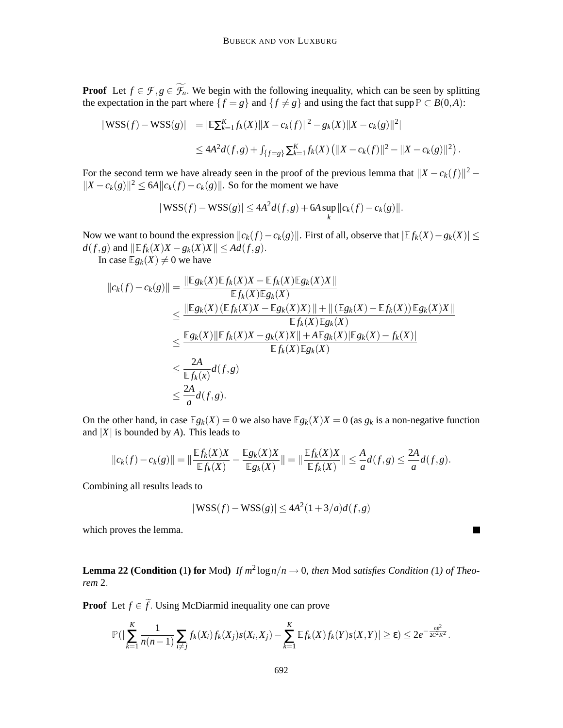**Proof** Let  $f \in \mathcal{F}, g \in \widetilde{\mathcal{F}}_n$ . We begin with the following inequality, which can be seen by splitting the expectation in the part where  $\{f = g\}$  and  $\{f \neq g\}$  and using the fact that supp  $P \subset B(0,A)$ :

$$
\begin{aligned} |\text{WSS}(f) - \text{WSS}(g)| &= |\mathbb{E}\sum_{k=1}^{K} f_k(X) \|X - c_k(f)\|^2 - g_k(X) \|X - c_k(g)\|^2| \\ &\le 4A^2 d(f, g) + \int_{\{f=g\}} \sum_{k=1}^{K} f_k(X) \left( \|X - c_k(f)\|^2 - \|X - c_k(g)\|^2 \right). \end{aligned}
$$

For the second term we have already seen in the proof of the previous lemma that  $||X - c_k(f)||^2$  –  $||X - c_k(g)||^2$  ≤ 6*A* $||c_k(f) - c_k(g)||$ . So for the moment we have

$$
|\mathbf{WSS}(f) - \mathbf{WSS}(g)| \le 4A^2 d(f,g) + 6A \sup_k ||c_k(f) - c_k(g)||.
$$

Now we want to bound the expression  $||c_k(f) - c_k(g)||$ . First of all, observe that  $|E f_k(X) - g_k(X)| \le$  $d(f, g)$  and  $\|\mathbb{E} f_k(X)X - g_k(X)X\| \leq Ad(f, g)$ .

In case  $E g_k(X) \neq 0$  we have

$$
||c_k(f) - c_k(g)|| = \frac{||\mathbb{E}g_k(X)\mathbb{E}f_k(X)X - \mathbb{E}f_k(X)\mathbb{E}g_k(X)X||}{\mathbb{E}f_k(X)\mathbb{E}g_k(X)}
$$
  
\n
$$
\leq \frac{||\mathbb{E}g_k(X)(\mathbb{E}f_k(X)X - \mathbb{E}g_k(X)X)|| + ||(\mathbb{E}g_k(X) - \mathbb{E}f_k(X))\mathbb{E}g_k(X)X||}{\mathbb{E}f_k(X)\mathbb{E}g_k(X)}
$$
  
\n
$$
\leq \frac{\mathbb{E}g_k(X)||\mathbb{E}f_k(X)X - g_k(X)X|| + A\mathbb{E}g_k(X)||\mathbb{E}g_k(X) - f_k(X)||}{\mathbb{E}f_k(X)\mathbb{E}g_k(X)}
$$
  
\n
$$
\leq \frac{2A}{\mathbb{E}f_k(x)}d(f,g)
$$
  
\n
$$
\leq \frac{2A}{a}d(f,g).
$$

On the other hand, in case  $\mathbb{E}g_k(X) = 0$  we also have  $\mathbb{E}g_k(X) = 0$  (as  $g_k$  is a non-negative function and  $|X|$  is bounded by *A*). This leads to

$$
||c_k(f) - c_k(g)|| = ||\frac{\mathbb{E} f_k(X)X}{\mathbb{E} f_k(X)} - \frac{\mathbb{E} g_k(X)X}{\mathbb{E} g_k(X)}|| = ||\frac{\mathbb{E} f_k(X)X}{\mathbb{E} f_k(X)}|| \leq \frac{A}{a}d(f,g) \leq \frac{2A}{a}d(f,g).
$$

Combining all results leads to

$$
|\mathbf{WSS}(f) - \mathbf{WSS}(g)| \le 4A^2(1+3/a)d(f,g)
$$

which proves the lemma.

**Lemma 22 (Condition** (1) for Mod) *If*  $m^2 \log n/n \to 0$ , then Mod *satisfies Condition* (1) *of Theorem* 2.

**Proof** Let  $f \in \tilde{f}$ . Using McDiarmid inequality one can prove

$$
\mathbb{P}(|\sum_{k=1}^K \frac{1}{n(n-1)} \sum_{i \neq j} f_k(X_i) f_k(X_j) s(X_i, X_j) - \sum_{k=1}^K \mathbb{E} f_k(X) f_k(Y) s(X, Y)| \geq \varepsilon) \leq 2e^{-\frac{n\varepsilon^2}{2C^2K^2}}.
$$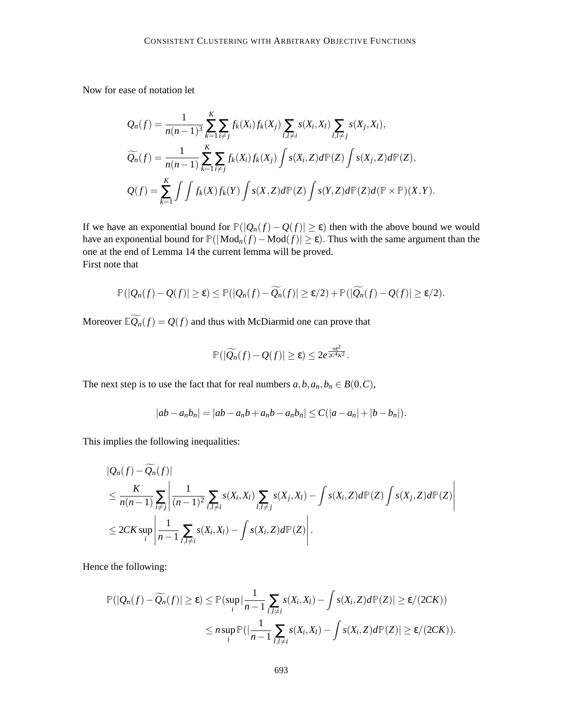Now for ease of notation let

$$
Q_n(f) = \frac{1}{n(n-1)^3} \sum_{k=1}^K \sum_{i \neq j} f_k(X_i) f_k(X_j) \sum_{l,l \neq i} s(X_i, X_l) \sum_{l,l \neq j} s(X_j, X_l),
$$
  

$$
\widetilde{Q_n}(f) = \frac{1}{n(n-1)} \sum_{k=1}^K \sum_{i \neq j} f_k(X_i) f_k(X_j) \int s(X_i, Z) d\mathbb{P}(Z) \int s(X_j, Z) d\mathbb{P}(Z),
$$
  

$$
Q(f) = \sum_{k=1}^K \int \int f_k(X) f_k(Y) \int s(X, Z) d\mathbb{P}(Z) \int s(Y, Z) d\mathbb{P}(Z) d(\mathbb{P} \times \mathbb{P})(X, Y).
$$

If we have an exponential bound for  $P(|Q_n(f) - Q(f)| \ge \varepsilon)$  then with the above bound we would have an exponential bound for  $P(|Mod_n(f) - Mod(f)| \ge \varepsilon)$ . Thus with the same argument than the one at the end of Lemma 14 the current lemma will be proved. First note that

$$
\mathbb{P}(|Q_n(f)-Q(f)|\geq \varepsilon)\leq \mathbb{P}(|Q_n(f)-\widetilde{Q_n}(f)|\geq \varepsilon/2)+\mathbb{P}(|\widetilde{Q_n}(f)-Q(f)|\geq \varepsilon/2).
$$

Moreover  $\mathbb{E}\widetilde{Q_n}(f) = Q(f)$  and thus with McDiarmid one can prove that

$$
\mathbb{P}(|\widetilde{Q_n}(f)-Q(f)|\geq \varepsilon)\leq 2e^{\frac{m\varepsilon^2}{2C^4K^2}}.
$$

The next step is to use the fact that for real numbers  $a, b, a_n, b_n \in B(0, C)$ ,

$$
|ab - a_n b_n| = |ab - a_n b + a_n b - a_n b_n| \leq C(|a - a_n| + |b - b_n|).
$$

This implies the following inequalities:

$$
|Q_n(f) - \widetilde{Q_n}(f)|
$$
  
\n
$$
\leq \frac{K}{n(n-1)} \sum_{i \neq j} \left| \frac{1}{(n-1)^2} \sum_{l, l \neq i} s(X_i, X_l) \sum_{l, l \neq j} s(X_j, X_l) - \int s(X_i, Z) d\mathbb{P}(Z) \int s(X_j, Z) d\mathbb{P}(Z) \right|
$$
  
\n
$$
\leq 2CK \sup_i \left| \frac{1}{n-1} \sum_{l, l \neq i} s(X_i, X_l) - \int s(X_i, Z) d\mathbb{P}(Z) \right|.
$$

Hence the following:

$$
\mathbb{P}(|Q_n(f) - \widetilde{Q_n}(f)| \geq \varepsilon) \leq \mathbb{P}(\sup_i |\frac{1}{n-1} \sum_{l,l \neq i} s(X_i, X_l) - \int s(X_i, Z) d\mathbb{P}(Z)| \geq \varepsilon/(2CK))
$$
  

$$
\leq n \sup_i \mathbb{P}(|\frac{1}{n-1} \sum_{l,l \neq i} s(X_i, X_l) - \int s(X_i, Z) d\mathbb{P}(Z)| \geq \varepsilon/(2CK)).
$$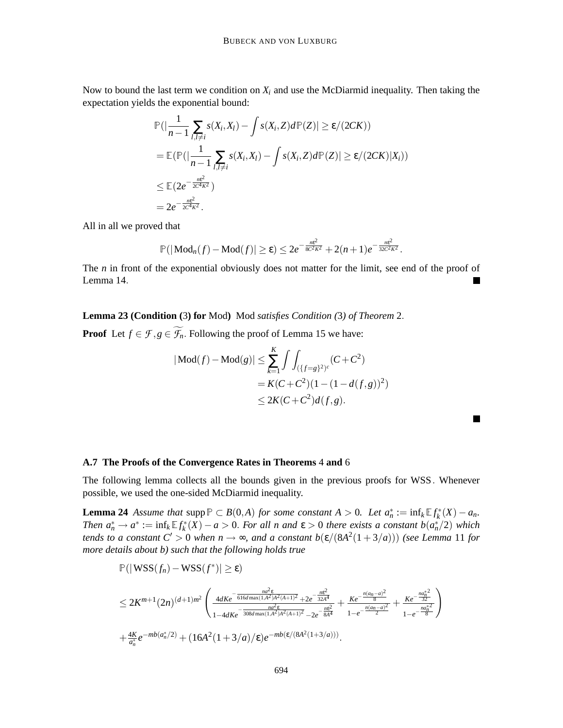Now to bound the last term we condition on  $X_i$  and use the McDiarmid inequality. Then taking the expectation yields the exponential bound:

$$
\mathbb{P}(|\frac{1}{n-1}\sum_{l,l\neq i} s(X_i,X_l) - \int s(X_i,Z)d\mathbb{P}(Z)| \geq \varepsilon/(2CK))
$$
  
= 
$$
\mathbb{E}(\mathbb{P}(|\frac{1}{n-1}\sum_{l,l\neq i} s(X_i,X_l) - \int s(X_i,Z)d\mathbb{P}(Z)| \geq \varepsilon/(2CK)|X_i))
$$
  

$$
\leq \mathbb{E}(2e^{-\frac{ne^2}{2C^4K^2}})
$$
  
= 
$$
2e^{-\frac{ne^2}{2C^4K^2}}.
$$

All in all we proved that

$$
\mathbb{P}(|\text{Mod}_n(f) - \text{Mod}(f)| \geq \varepsilon) \leq 2e^{-\frac{ne^2}{8C^2K^2}} + 2(n+1)e^{-\frac{ne^2}{32C^2K^2}}.
$$

The *n* in front of the exponential obviously does not matter for the limit, see end of the proof of Lemma 14.

**Lemma 23 (Condition (**3**) for** Mod**)** Mod *satisfies Condition (*3*) of Theorem* 2.

**Proof** Let  $f \in \mathcal{F}, g \in \widetilde{\mathcal{F}_n}$ . Following the proof of Lemma 15 we have:

$$
|\text{Mod}(f) - \text{Mod}(g)| \le \sum_{k=1}^{K} \int \int_{(\{f=g\}^2)^c} (C + C^2)
$$
  
=  $K(C + C^2)(1 - (1 - d(f, g))^2)$   
 $\le 2K(C + C^2)d(f, g).$ 

#### **A.7 The Proofs of the Convergence Rates in Theorems** 4 **and** 6

The following lemma collects all the bounds given in the previous proofs for WSS. Whenever possible, we used the one-sided McDiarmid inequality.

**Lemma 24** *Assume that* supp  $P \subset B(0,A)$  *for some constant*  $A > 0$ *. Let*  $a_n^* := \inf_k \mathbb{E} f_k^*(X) - a_n$ *. Then*  $a_n^* \to a^* := \inf_k \mathbb{E} f_k^*(X) - a > 0$ . For all n and  $\varepsilon > 0$  there exists a constant  $b(a_n^*/2)$  which *tends to a constant*  $C' > 0$  *when*  $n \to \infty$ *, and a constant*  $b(\varepsilon/(8A^2(1+3/a)))$  (see Lemma 11 for *more details about b) such that the following holds true*

$$
\mathbb{P}(|\text{WSS}(f_n) - \text{WSS}(f^*)| \geq \varepsilon)
$$
\n
$$
\leq 2K^{m+1}(2n)^{(d+1)m^2} \left( \frac{4dKe^{-\frac{na^2\varepsilon}{616d\max(1,A^2)A^2(A+1)^2} + 2e^{-\frac{ne^2}{32A^4}}}{1 - 4dKe^{-\frac{na^2\varepsilon}{308d\max(1,A^2)A^2(A+1)^2} - 2e^{-\frac{ne^2}{8A^4}}} + \frac{Ke^{-\frac{n(an-a)^2}{8}}}{1 - e^{-\frac{n(an-a)^2}{2}}} + \frac{Ke^{-\frac{n a_n^*2}{32}}}{1 - e^{-\frac{n a_n^*2}{8}}}\right)
$$
\n
$$
+ \frac{4K}{a_n^*}e^{-mb(a_n^*/2)} + (16A^2(1+3/a)/\varepsilon)e^{-mb(\varepsilon/(8A^2(1+3/a)))}.
$$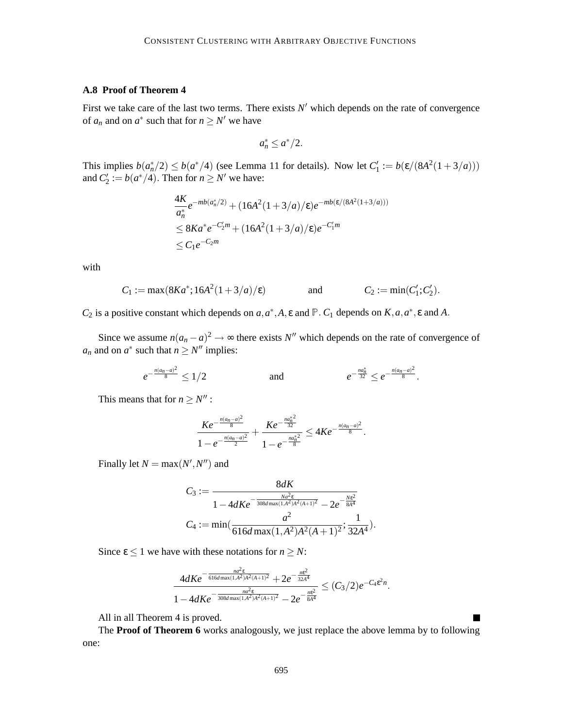# **A.8 Proof of Theorem 4**

First we take care of the last two terms. There exists  $N'$  which depends on the rate of convergence of  $a_n$  and on  $a^*$  such that for  $n \ge N'$  we have

$$
a_n^* \leq a^*/2.
$$

This implies  $b(a_n^*/2) \le b(a^*/4)$  (see Lemma 11 for details). Now let  $C'_1 := b(\varepsilon/(8A^2(1+3/a)))$ and  $C'_2 := b(a^*/4)$ . Then for  $n \ge N'$  we have:

$$
\frac{4K}{a_n^*}e^{-mb(a_n^*/2)} + (16A^2(1+3/a)/\epsilon)e^{-mb(\epsilon/(8A^2(1+3/a)))}
$$
  
\n
$$
\leq 8Ka^*e^{-C_2'm} + (16A^2(1+3/a)/\epsilon)e^{-C_1'm}
$$
  
\n
$$
\leq C_1e^{-C_2m}
$$

with

$$
C_1 := \max(8Ka^*; 16A^2(1+3/a)/\epsilon)
$$
 and  $C_2 := \min(C'_1; C'_2).$ 

*C*<sub>2</sub> is a positive constant which depends on *a*,  $a^*$ , *A*,  $\varepsilon$  and  $\mathbb{P}$ . *C*<sub>1</sub> depends on *K*,  $a$ ,  $a^*$ ,  $\varepsilon$  and *A*.

Since we assume  $n(a_n - a)^2 \to \infty$  there exists *N*<sup>*''*</sup> which depends on the rate of convergence of *a<sub>n</sub>* and on  $a^*$  such that  $n \geq N''$  implies:

$$
e^{-\frac{n(a_n-a)^2}{8}} \le 1/2 \qquad \text{and} \qquad e^{-\frac{n a_n^*}{32}} \le e^{-\frac{n(a_n-a)^2}{8}}.
$$

This means that for  $n \geq N''$ :

$$
\frac{Ke^{-\frac{n(a_n-a)^2}{8}}}{1-e^{-\frac{n(a_n-a)^2}{2}}}+\frac{Ke^{-\frac{n a_n^*^2}{32}}}{1-e^{-\frac{n a_n^*^2}{8}}}\leq 4Ke^{-\frac{n(a_n-a)^2}{8}}.
$$

Finally let  $N = \max(N', N'')$  and

$$
C_3 := \frac{8dK}{1 - 4dKe^{-\frac{Na^2\epsilon}{308d\max(1,A^2)A^2(A+1)^2}} - 2e^{-\frac{N\epsilon^2}{8A^4}}}
$$
  

$$
C_4 := \min(\frac{a^2}{616d\max(1,A^2)A^2(A+1)^2}; \frac{1}{32A^4}).
$$

Since  $\epsilon \leq 1$  we have with these notations for  $n \geq N$ :

$$
\frac{4dKe^{-\frac{na^2\epsilon}{616d\max(1,A^2)A^2(A+1)^2}+2e^{-\frac{me^2}{32A^4}}}}{1-4dKe^{-\frac{na^2\epsilon}{308d\max(1,A^2)A^2(A+1)^2}}-2e^{-\frac{me^2}{8A^4}}}\leq (C_3/2)e^{-C_4\epsilon^2n}.
$$

All in all Theorem 4 is proved.

The **Proof of Theorem 6** works analogously, we just replace the above lemma by to following one: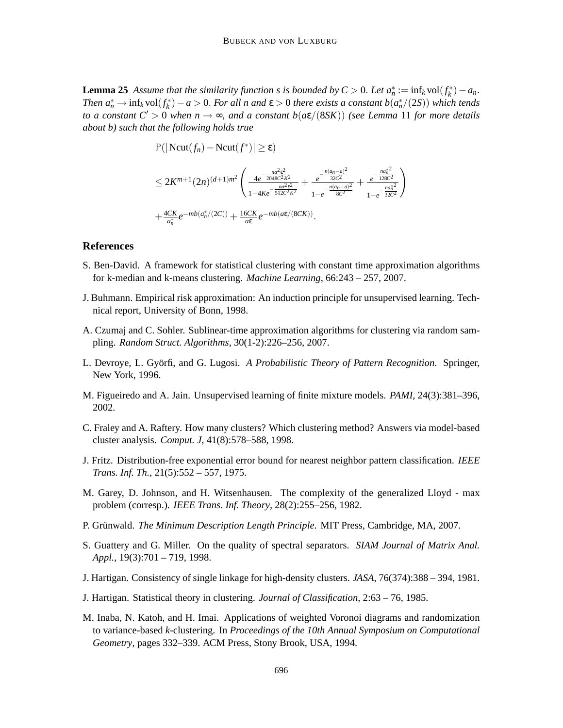**Lemma 25** *Assume that the similarity function s is bounded by*  $C > 0$ *. Let*  $a_n^* := \inf_k \text{vol}(f_k^*) - a_n$ *. Then*  $a_n^* \to \inf_k \text{vol}(f_k^*) - a > 0$ . *For all n and*  $\varepsilon > 0$  *there exists a constant*  $b(a_n^*/(2S))$  *which tends to a constant*  $C' > 0$  *when*  $n \to \infty$ *, and a constant*  $b(a\epsilon/(8SK))$  *(see Lemma 11 for more details about b) such that the following holds true*

> $\mathbb{P}(|\text{Ncut}(f_n) - \text{Ncut}(f^*)| \ge \varepsilon)$  $\leq 2K^{m+1}(2n)^{(d+1)m^2}\left(\frac{4e^{-\frac{na^2\hat{\epsilon}^2}{2048C^2K^2}}}{\frac{na^2\hat{\epsilon}^2}{2}}\right)$  $1−4Ke$ <sup>- $\frac{na^2ε^2}{512C^2K^2}$ </sup>  $+\frac{e^{-\frac{n(a_n-a)^2}{32C^2}}}{n(a_n-a)}$ 32*C*2  $\sqrt{1-e^{-\frac{n(a_n-a)^2}{8C^2}}}$  $+$   $\frac{e^{-\frac{na_n^*^2}{128C}}}{n^2}$ 128*C*2  $1-e^{-\frac{na_n^*^2}{32C^2}}$ 32*C*2 !  $+\frac{4CK}{a^*}$  $\frac{CK}{a_n^*}e^{-mb(a_n^*/(2C))} + \frac{16CK}{a\epsilon}$ *a*ε *e* −*mb*(*a*ε/(8*CK*)) .

### **References**

- S. Ben-David. A framework for statistical clustering with constant time approximation algorithms for k-median and k-means clustering. *Machine Learning*, 66:243 – 257, 2007.
- J. Buhmann. Empirical risk approximation: An induction principle for unsupervised learning. Technical report, University of Bonn, 1998.
- A. Czumaj and C. Sohler. Sublinear-time approximation algorithms for clustering via random sampling. *Random Struct. Algorithms*, 30(1-2):226–256, 2007.
- L. Devroye, L. Györfi, and G. Lugosi. A Probabilistic Theory of Pattern Recognition. Springer, New York, 1996.
- M. Figueiredo and A. Jain. Unsupervised learning of finite mixture models. *PAMI*, 24(3):381–396, 2002.
- C. Fraley and A. Raftery. How many clusters? Which clustering method? Answers via model-based cluster analysis. *Comput. J*, 41(8):578–588, 1998.
- J. Fritz. Distribution-free exponential error bound for nearest neighbor pattern classification. *IEEE Trans. Inf. Th.*, 21(5):552 – 557, 1975.
- M. Garey, D. Johnson, and H. Witsenhausen. The complexity of the generalized Lloyd max problem (corresp.). *IEEE Trans. Inf. Theory*, 28(2):255–256, 1982.
- P. Grünwald. The Minimum Description Length Principle. MIT Press, Cambridge, MA, 2007.
- S. Guattery and G. Miller. On the quality of spectral separators. *SIAM Journal of Matrix Anal. Appl.*, 19(3):701 – 719, 1998.
- J. Hartigan. Consistency of single linkage for high-density clusters. *JASA*, 76(374):388 394, 1981.
- J. Hartigan. Statistical theory in clustering. *Journal of Classification*, 2:63 76, 1985.
- M. Inaba, N. Katoh, and H. Imai. Applications of weighted Voronoi diagrams and randomization to variance-based *k*-clustering. In *Proceedings of the 10th Annual Symposium on Computational Geometry*, pages 332–339. ACM Press, Stony Brook, USA, 1994.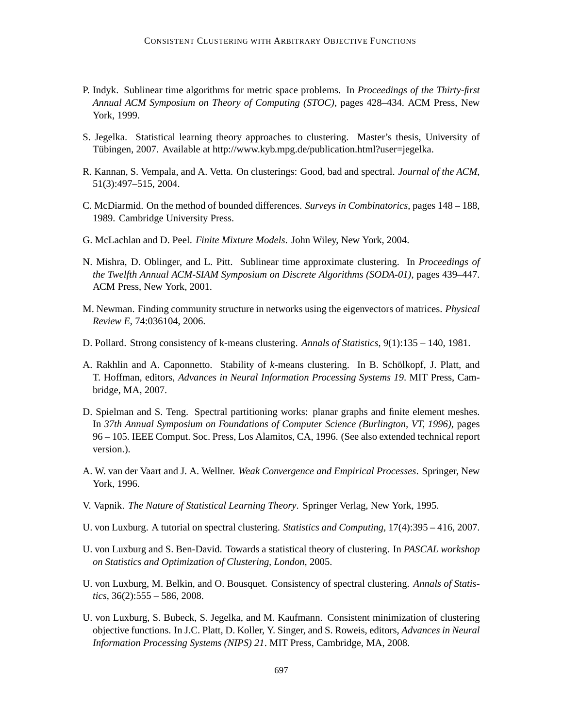- P. Indyk. Sublinear time algorithms for metric space problems. In *Proceedings of the Thirty-first Annual ACM Symposium on Theory of Computing (STOC)*, pages 428–434. ACM Press, New York, 1999.
- S. Jegelka. Statistical learning theory approaches to clustering. Master's thesis, University of Tübingen, 2007. Available at http://www.kyb.mpg.de/publication.html?user=jegelka.
- R. Kannan, S. Vempala, and A. Vetta. On clusterings: Good, bad and spectral. *Journal of the ACM*, 51(3):497–515, 2004.
- C. McDiarmid. On the method of bounded differences. *Surveys in Combinatorics*, pages 148 188, 1989. Cambridge University Press.
- G. McLachlan and D. Peel. *Finite Mixture Models*. John Wiley, New York, 2004.
- N. Mishra, D. Oblinger, and L. Pitt. Sublinear time approximate clustering. In *Proceedings of the Twelfth Annual ACM-SIAM Symposium on Discrete Algorithms (SODA-01)*, pages 439–447. ACM Press, New York, 2001.
- M. Newman. Finding community structure in networks using the eigenvectors of matrices. *Physical Review E*, 74:036104, 2006.
- D. Pollard. Strong consistency of k-means clustering. *Annals of Statistics*, 9(1):135 140, 1981.
- A. Rakhlin and A. Caponnetto. Stability of *k*-means clustering. In B. Scholkopf, J. Platt, and ¨ T. Hoffman, editors, *Advances in Neural Information Processing Systems 19*. MIT Press, Cambridge, MA, 2007.
- D. Spielman and S. Teng. Spectral partitioning works: planar graphs and finite element meshes. In *37th Annual Symposium on Foundations of Computer Science (Burlington, VT, 1996)*, pages 96 – 105. IEEE Comput. Soc. Press, Los Alamitos, CA, 1996. (See also extended technical report version.).
- A. W. van der Vaart and J. A. Wellner. *Weak Convergence and Empirical Processes*. Springer, New York, 1996.
- V. Vapnik. *The Nature of Statistical Learning Theory*. Springer Verlag, New York, 1995.
- U. von Luxburg. A tutorial on spectral clustering. *Statistics and Computing*, 17(4):395 416, 2007.
- U. von Luxburg and S. Ben-David. Towards a statistical theory of clustering. In *PASCAL workshop on Statistics and Optimization of Clustering, London*, 2005.
- U. von Luxburg, M. Belkin, and O. Bousquet. Consistency of spectral clustering. *Annals of Statistics*, 36(2):555 – 586, 2008.
- U. von Luxburg, S. Bubeck, S. Jegelka, and M. Kaufmann. Consistent minimization of clustering objective functions. In J.C. Platt, D. Koller, Y. Singer, and S. Roweis, editors, *Advances in Neural Information Processing Systems (NIPS) 21*. MIT Press, Cambridge, MA, 2008.